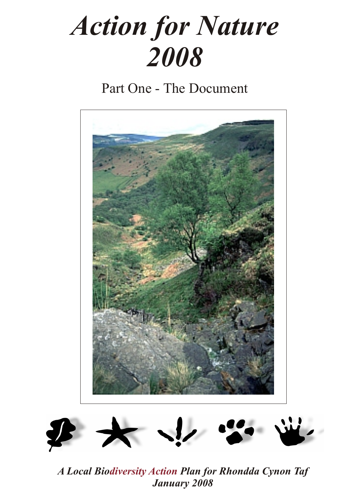# *Action for Nature 2008*

Part One - The Document





*A Local Bio Plan for Rhondda Cynon Taf diversity ActionJanuary 2008*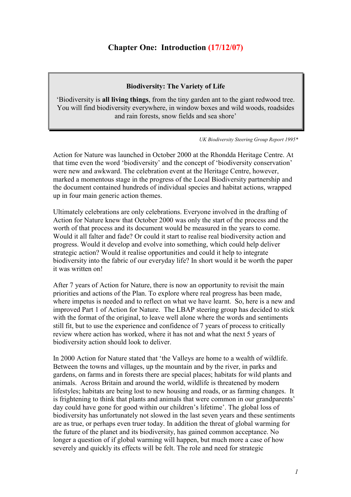# **Chapter One: Introduction (17/12/07)**

## **Biodiversity: The Variety of Life**

'Biodiversity is **all living things**, from the tiny garden ant to the giant redwood tree. You will find biodiversity everywhere, in window boxes and wild woods, roadsides and rain forests, snow fields and sea shore'

*UK Biodiversity Steering Group Report 1995\** 

Action for Nature was launched in October 2000 at the Rhondda Heritage Centre. At that time even the word 'biodiversity' and the concept of 'biodiversity conservation' were new and awkward. The celebration event at the Heritage Centre, however, marked a momentous stage in the progress of the Local Biodiversity partnership and the document contained hundreds of individual species and habitat actions, wrapped up in four main generic action themes.

Ultimately celebrations are only celebrations. Everyone involved in the drafting of Action for Nature knew that October 2000 was only the start of the process and the worth of that process and its document would be measured in the years to come. Would it all falter and fade? Or could it start to realise real biodiversity action and progress. Would it develop and evolve into something, which could help deliver strategic action? Would it realise opportunities and could it help to integrate biodiversity into the fabric of our everyday life? In short would it be worth the paper it was written on!

After 7 years of Action for Nature, there is now an opportunity to revisit the main priorities and actions of the Plan. To explore where real progress has been made, where impetus is needed and to reflect on what we have learnt. So, here is a new and improved Part 1 of Action for Nature. The LBAP steering group has decided to stick with the format of the original, to leave well alone where the words and sentiments still fit, but to use the experience and confidence of 7 years of process to critically review where action has worked, where it has not and what the next 5 years of biodiversity action should look to deliver.

In 2000 Action for Nature stated that 'the Valleys are home to a wealth of wildlife. Between the towns and villages, up the mountain and by the river, in parks and gardens, on farms and in forests there are special places; habitats for wild plants and animals. Across Britain and around the world, wildlife is threatened by modern lifestyles; habitats are being lost to new housing and roads, or as farming changes. It is frightening to think that plants and animals that were common in our grandparents' day could have gone for good within our children's lifetime'. The global loss of biodiversity has unfortunately not slowed in the last seven years and these sentiments are as true, or perhaps even truer today. In addition the threat of global warming for the future of the planet and its biodiversity, has gained common acceptance. No longer a question of if global warming will happen, but much more a case of how severely and quickly its effects will be felt. The role and need for strategic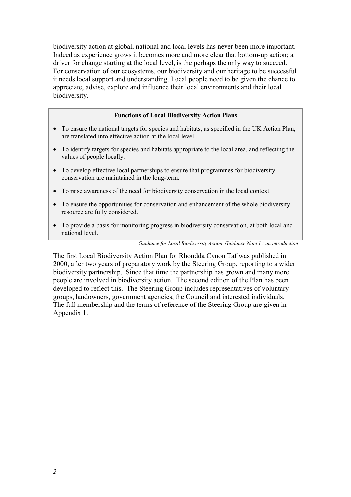biodiversity action at global, national and local levels has never been more important. Indeed as experience grows it becomes more and more clear that bottom-up action; a driver for change starting at the local level, is the perhaps the only way to succeed. For conservation of our ecosystems, our biodiversity and our heritage to be successful it needs local support and understanding. Local people need to be given the chance to appreciate, advise, explore and influence their local environments and their local biodiversity.

#### **Functions of Local Biodiversity Action Plans**

- To ensure the national targets for species and habitats, as specified in the UK Action Plan, are translated into effective action at the local level.
- To identify targets for species and habitats appropriate to the local area, and reflecting the values of people locally.
- To develop effective local partnerships to ensure that programmes for biodiversity conservation are maintained in the long-term.
- To raise awareness of the need for biodiversity conservation in the local context.
- To ensure the opportunities for conservation and enhancement of the whole biodiversity resource are fully considered.
- To provide a basis for monitoring progress in biodiversity conservation, at both local and national level.

*Guidance for Local Biodiversity Action Guidance Note 1 : an introduction* 

The first Local Biodiversity Action Plan for Rhondda Cynon Taf was published in 2000, after two years of preparatory work by the Steering Group, reporting to a wider biodiversity partnership. Since that time the partnership has grown and many more people are involved in biodiversity action. The second edition of the Plan has been developed to reflect this. The Steering Group includes representatives of voluntary groups, landowners, government agencies, the Council and interested individuals. The full membership and the terms of reference of the Steering Group are given in Appendix 1.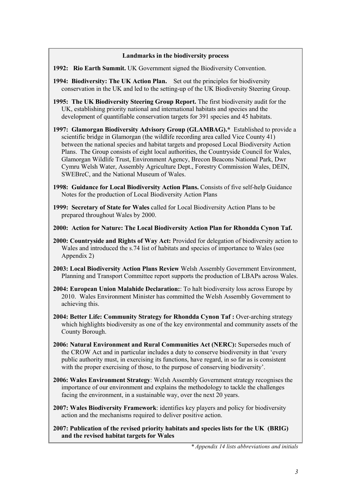#### **Landmarks in the biodiversity process**

- **1992: Rio Earth Summit.** UK Government signed the Biodiversity Convention.
- **1994: Biodiversity: The UK Action Plan.** Set out the principles for biodiversity conservation in the UK and led to the setting-up of the UK Biodiversity Steering Group.
- **1995: The UK Biodiversity Steering Group Report.** The first biodiversity audit for the UK, establishing priority national and international habitats and species and the development of quantifiable conservation targets for 391 species and 45 habitats.
- **1997: Glamorgan Biodiversity Advisory Group (GLAMBAG).\*** Established to provide a scientific bridge in Glamorgan (the wildlife recording area called Vice County 41) between the national species and habitat targets and proposed Local Biodiversity Action Plans. The Group consists of eight local authorities, the Countryside Council for Wales, Glamorgan Wildlife Trust, Environment Agency, Brecon Beacons National Park, Dwr Cymru Welsh Water, Assembly Agriculture Dept., Forestry Commission Wales, DEIN, SWEBreC, and the National Museum of Wales.
- **1998: Guidance for Local Biodiversity Action Plans.** Consists of five self-help Guidance Notes for the production of Local Biodiversity Action Plans
- **1999: Secretary of State for Wales** called for Local Biodiversity Action Plans to be prepared throughout Wales by 2000.
- **2000: Action for Nature: The Local Biodiversity Action Plan for Rhondda Cynon Taf.**
- **2000: Countryside and Rights of Way Act:** Provided for delegation of biodiversity action to Wales and introduced the s.74 list of habitats and species of importance to Wales (see Appendix 2)
- **2003: Local Biodiversity Action Plans Review** Welsh Assembly Government Environment, Planning and Transport Committee report supports the production of LBAPs across Wales.
- **2004: European Union Malahide Declaration:**: To halt biodiversity loss across Europe by 2010. Wales Environment Minister has committed the Welsh Assembly Government to achieving this.
- **2004: Better Life: Community Strategy for Rhondda Cynon Taf : Over-arching strategy** which highlights biodiversity as one of the key environmental and community assets of the County Borough.
- **2006: Natural Environment and Rural Communities Act (NERC):** Supersedes much of the CROW Act and in particular includes a duty to conserve biodiversity in that 'every public authority must, in exercising its functions, have regard, in so far as is consistent with the proper exercising of those, to the purpose of conserving biodiversity'.
- **2006: Wales Environment Strategy**: Welsh Assembly Government strategy recognises the importance of our environment and explains the methodology to tackle the challenges facing the environment, in a sustainable way, over the next 20 years.
- **2007: Wales Biodiversity Framework**: identifies key players and policy for biodiversity action and the mechanisms required to deliver positive action.
- **2007: Publication of the revised priority habitats and species lists for the UK (BRIG) and the revised habitat targets for Wales**

*\* Appendix 14 lists abbreviations and initials*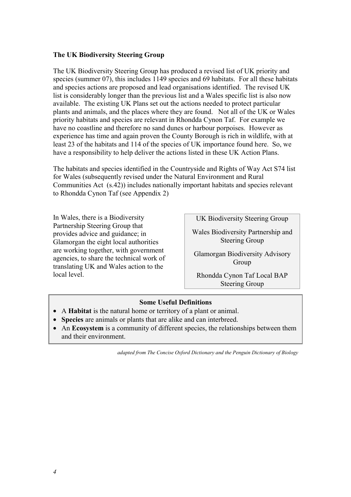#### **The UK Biodiversity Steering Group**

The UK Biodiversity Steering Group has produced a revised list of UK priority and species (summer 07), this includes 1149 species and 69 habitats. For all these habitats and species actions are proposed and lead organisations identified. The revised UK list is considerably longer than the previous list and a Wales specific list is also now available. The existing UK Plans set out the actions needed to protect particular plants and animals, and the places where they are found. Not all of the UK or Wales priority habitats and species are relevant in Rhondda Cynon Taf. For example we have no coastline and therefore no sand dunes or harbour porpoises. However as experience has time and again proven the County Borough is rich in wildlife, with at least 23 of the habitats and 114 of the species of UK importance found here. So, we have a responsibility to help deliver the actions listed in these UK Action Plans.

The habitats and species identified in the Countryside and Rights of Way Act S74 list for Wales (subsequently revised under the Natural Environment and Rural Communities Act (s.42)) includes nationally important habitats and species relevant to Rhondda Cynon Taf (see Appendix 2)

In Wales, there is a Biodiversity Partnership Steering Group that provides advice and guidance; in Glamorgan the eight local authorities are working together, with government agencies, to share the technical work of translating UK and Wales action to the local level.

UK Biodiversity Steering Group

Wales Biodiversity Partnership and Steering Group

Glamorgan Biodiversity Advisory Group

Rhondda Cynon Taf Local BAP Steering Group

#### **Some Useful Definitions**

- A **Habitat** is the natural home or territory of a plant or animal.
- **Species** are animals or plants that are alike and can interbreed.
- An **Ecosystem** is a community of different species, the relationships between them and their environment.

*adapted from The Concise Oxford Dictionary and the Penguin Dictionary of Biology*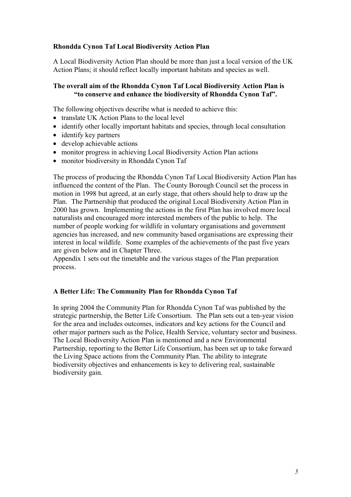## **Rhondda Cynon Taf Local Biodiversity Action Plan**

A Local Biodiversity Action Plan should be more than just a local version of the UK Action Plans; it should reflect locally important habitats and species as well.

## **The overall aim of the Rhondda Cynon Taf Local Biodiversity Action Plan is "to conserve and enhance the biodiversity of Rhondda Cynon Taf".**

The following objectives describe what is needed to achieve this:

- translate UK Action Plans to the local level
- identify other locally important habitats and species, through local consultation
- identify key partners
- develop achievable actions
- monitor progress in achieving Local Biodiversity Action Plan actions
- monitor biodiversity in Rhondda Cynon Taf

The process of producing the Rhondda Cynon Taf Local Biodiversity Action Plan has influenced the content of the Plan. The County Borough Council set the process in motion in 1998 but agreed, at an early stage, that others should help to draw up the Plan. The Partnership that produced the original Local Biodiversity Action Plan in 2000 has grown. Implementing the actions in the first Plan has involved more local naturalists and encouraged more interested members of the public to help. The number of people working for wildlife in voluntary organisations and government agencies has increased, and new community based organisations are expressing their interest in local wildlife. Some examples of the achievements of the past five years are given below and in Chapter Three.

Appendix 1 sets out the timetable and the various stages of the Plan preparation process.

#### **A Better Life: The Community Plan for Rhondda Cynon Taf**

In spring 2004 the Community Plan for Rhondda Cynon Taf was published by the strategic partnership, the Better Life Consortium. The Plan sets out a ten-year vision for the area and includes outcomes, indicators and key actions for the Council and other major partners such as the Police, Health Service, voluntary sector and business. The Local Biodiversity Action Plan is mentioned and a new Environmental Partnership, reporting to the Better Life Consortium, has been set up to take forward the Living Space actions from the Community Plan. The ability to integrate biodiversity objectives and enhancements is key to delivering real, sustainable biodiversity gain.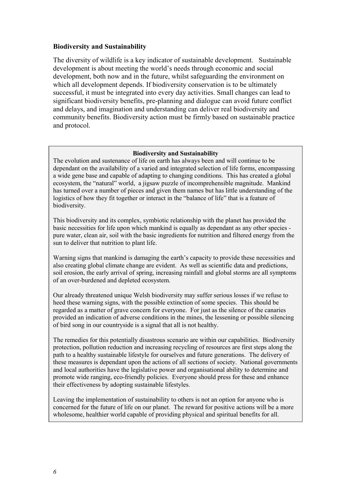#### **Biodiversity and Sustainability**

The diversity of wildlife is a key indicator of sustainable development. Sustainable development is about meeting the world's needs through economic and social development, both now and in the future, whilst safeguarding the environment on which all development depends. If biodiversity conservation is to be ultimately successful, it must be integrated into every day activities. Small changes can lead to significant biodiversity benefits, pre-planning and dialogue can avoid future conflict and delays, and imagination and understanding can deliver real biodiversity and community benefits. Biodiversity action must be firmly based on sustainable practice and protocol.

#### **Biodiversity and Sustainability**

The evolution and sustenance of life on earth has always been and will continue to be dependant on the availability of a varied and integrated selection of life forms, encompassing a wide gene base and capable of adapting to changing conditions. This has created a global ecosystem, the "natural" world, a jigsaw puzzle of incomprehensible magnitude. Mankind has turned over a number of pieces and given them names but has little understanding of the logistics of how they fit together or interact in the "balance of life" that is a feature of biodiversity.

This biodiversity and its complex, symbiotic relationship with the planet has provided the basic necessities for life upon which mankind is equally as dependant as any other species pure water, clean air, soil with the basic ingredients for nutrition and filtered energy from the sun to deliver that nutrition to plant life.

Warning signs that mankind is damaging the earth's capacity to provide these necessities and also creating global climate change are evident. As well as scientific data and predictions, soil erosion, the early arrival of spring, increasing rainfall and global storms are all symptoms of an over-burdened and depleted ecosystem.

Our already threatened unique Welsh biodiversity may suffer serious losses if we refuse to heed these warning signs, with the possible extinction of some species. This should be regarded as a matter of grave concern for everyone. For just as the silence of the canaries provided an indication of adverse conditions in the mines, the lessening or possible silencing of bird song in our countryside is a signal that all is not healthy.

The remedies for this potentially disastrous scenario are within our capabilities. Biodiversity protection, pollution reduction and increasing recycling of resources are first steps along the path to a healthy sustainable lifestyle for ourselves and future generations. The delivery of these measures is dependant upon the actions of all sections of society. National governments and local authorities have the legislative power and organisational ability to determine and promote wide ranging, eco-friendly policies. Everyone should press for these and enhance their effectiveness by adopting sustainable lifestyles.

Leaving the implementation of sustainability to others is not an option for anyone who is concerned for the future of life on our planet. The reward for positive actions will be a more wholesome, healthier world capable of providing physical and spiritual benefits for all.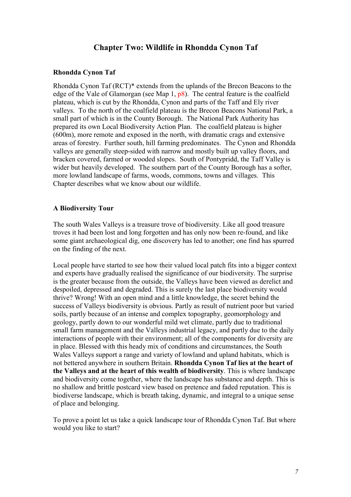# **Chapter Two: Wildlife in Rhondda Cynon Taf**

#### **Rhondda Cynon Taf**

Rhondda Cynon Taf (RCT)\* extends from the uplands of the Brecon Beacons to the edge of the Vale of Glamorgan (see Map 1, p8). The central feature is the coalfield plateau, which is cut by the Rhondda, Cynon and parts of the Taff and Ely river valleys. To the north of the coalfield plateau is the Brecon Beacons National Park, a small part of which is in the County Borough. The National Park Authority has prepared its own Local Biodiversity Action Plan. The coalfield plateau is higher (600m), more remote and exposed in the north, with dramatic crags and extensive areas of forestry. Further south, hill farming predominates. The Cynon and Rhondda valleys are generally steep-sided with narrow and mostly built up valley floors, and bracken covered, farmed or wooded slopes. South of Pontypridd, the Taff Valley is wider but heavily developed. The southern part of the County Borough has a softer, more lowland landscape of farms, woods, commons, towns and villages. This Chapter describes what we know about our wildlife.

#### **A Biodiversity Tour**

The south Wales Valleys is a treasure trove of biodiversity. Like all good treasure troves it had been lost and long forgotten and has only now been re-found, and like some giant archaeological dig, one discovery has led to another; one find has spurred on the finding of the next.

Local people have started to see how their valued local patch fits into a bigger context and experts have gradually realised the significance of our biodiversity. The surprise is the greater because from the outside, the Valleys have been viewed as derelict and despoiled, depressed and degraded. This is surely the last place biodiversity would thrive? Wrong! With an open mind and a little knowledge, the secret behind the success of Valleys biodiversity is obvious. Partly as result of nutrient poor but varied soils, partly because of an intense and complex topography, geomorphology and geology, partly down to our wonderful mild wet climate, partly due to traditional small farm management and the Valleys industrial legacy, and partly due to the daily interactions of people with their environment; all of the components for diversity are in place. Blessed with this heady mix of conditions and circumstances, the South Wales Valleys support a range and variety of lowland and upland habitats, which is not bettered anywhere in southern Britain. **Rhondda Cynon Taf lies at the heart of the Valleys and at the heart of this wealth of biodiversity**. This is where landscape and biodiversity come together, where the landscape has substance and depth. This is no shallow and brittle postcard view based on pretence and faded reputation. This is biodiverse landscape, which is breath taking, dynamic, and integral to a unique sense of place and belonging.

To prove a point let us take a quick landscape tour of Rhondda Cynon Taf. But where would you like to start?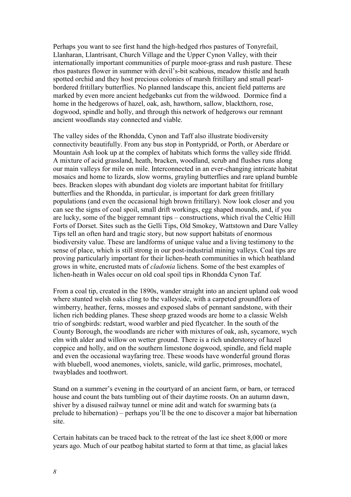Perhaps you want to see first hand the high-hedged rhos pastures of Tonyrefail, Llanharan, Llantrisant, Church Village and the Upper Cynon Valley, with their internationally important communities of purple moor-grass and rush pasture. These rhos pastures flower in summer with devil's-bit scabious, meadow thistle and heath spotted orchid and they host precious colonies of marsh fritillary and small pearlbordered fritillary butterflies. No planned landscape this, ancient field patterns are marked by even more ancient hedgebanks cut from the wildwood. Dormice find a home in the hedgerows of hazel, oak, ash, hawthorn, sallow, blackthorn, rose, dogwood, spindle and holly, and through this network of hedgerows our remnant ancient woodlands stay connected and viable.

The valley sides of the Rhondda, Cynon and Taff also illustrate biodiversity connectivity beautifully. From any bus stop in Pontypridd, or Porth, or Aberdare or Mountain Ash look up at the complex of habitats which forms the valley side ffridd. A mixture of acid grassland, heath, bracken, woodland, scrub and flushes runs along our main valleys for mile on mile. Interconnected in an ever-changing intricate habitat mosaics and home to lizards, slow worms, grayling butterflies and rare upland bumble bees. Bracken slopes with abundant dog violets are important habitat for fritillary butterflies and the Rhondda, in particular, is important for dark green fritillary populations (and even the occasional high brown fritillary). Now look closer and you can see the signs of coal spoil, small drift workings, egg shaped mounds, and, if you are lucky, some of the bigger remnant tips – constructions, which rival the Celtic Hill Forts of Dorset. Sites such as the Gelli Tips, Old Smokey, Wattstown and Dare Valley Tips tell an often hard and tragic story, but now support habitats of enormous biodiversity value. These are landforms of unique value and a living testimony to the sense of place, which is still strong in our post-industrial mining valleys. Coal tips are proving particularly important for their lichen-heath communities in which heathland grows in white, encrusted mats of *cladonia* lichens. Some of the best examples of lichen-heath in Wales occur on old coal spoil tips in Rhondda Cynon Taf.

From a coal tip, created in the 1890s, wander straight into an ancient upland oak wood where stunted welsh oaks cling to the valleyside, with a carpeted groundflora of wimberry, heather, ferns, mosses and exposed slabs of pennant sandstone, with their lichen rich bedding planes. These sheep grazed woods are home to a classic Welsh trio of songbirds: redstart, wood warbler and pied flycatcher. In the south of the County Borough, the woodlands are richer with mixtures of oak, ash, sycamore, wych elm with alder and willow on wetter ground. There is a rich understorey of hazel coppice and holly, and on the southern limestone dogwood, spindle, and field maple and even the occasional wayfaring tree. These woods have wonderful ground floras with bluebell, wood anemones, violets, sanicle, wild garlic, primroses, mochatel, twayblades and toothwort.

Stand on a summer's evening in the courtyard of an ancient farm, or barn, or terraced house and count the bats tumbling out of their daytime roosts. On an autumn dawn, shiver by a disused railway tunnel or mine adit and watch for swarming bats (a prelude to hibernation) – perhaps you'll be the one to discover a major bat hibernation site.

Certain habitats can be traced back to the retreat of the last ice sheet 8,000 or more years ago. Much of our peatbog habitat started to form at that time, as glacial lakes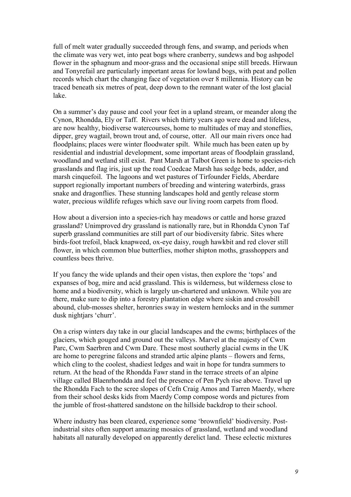full of melt water gradually succeeded through fens, and swamp, and periods when the climate was very wet, into peat bogs where cranberry, sundews and bog ashpodel flower in the sphagnum and moor-grass and the occasional snipe still breeds. Hirwaun and Tonyrefail are particularly important areas for lowland bogs, with peat and pollen records which chart the changing face of vegetation over 8 millennia. History can be traced beneath six metres of peat, deep down to the remnant water of the lost glacial lake.

On a summer's day pause and cool your feet in a upland stream, or meander along the Cynon, Rhondda, Ely or Taff. Rivers which thirty years ago were dead and lifeless, are now healthy, biodiverse watercourses, home to multitudes of may and stoneflies, dipper, grey wagtail, brown trout and, of course, otter. All our main rivers once had floodplains; places were winter floodwater spilt. While much has been eaten up by residential and industrial development, some important areas of floodplain grassland, woodland and wetland still exist. Pant Marsh at Talbot Green is home to species-rich grasslands and flag iris, just up the road Coedcae Marsh has sedge beds, adder, and marsh cinquefoil. The lagoons and wet pastures of Tirfounder Fields, Aberdare support regionally important numbers of breeding and wintering waterbirds, grass snake and dragonflies. These stunning landscapes hold and gently release storm water, precious wildlife refuges which save our living room carpets from flood.

How about a diversion into a species-rich hay meadows or cattle and horse grazed grassland? Unimproved dry grassland is nationally rare, but in Rhondda Cynon Taf superb grassland communities are still part of our biodiversity fabric. Sites where birds-foot trefoil, black knapweed, ox-eye daisy, rough hawkbit and red clover still flower, in which common blue butterflies, mother shipton moths, grasshoppers and countless bees thrive.

If you fancy the wide uplands and their open vistas, then explore the 'tops' and expanses of bog, mire and acid grassland. This is wilderness, but wilderness close to home and a biodiversity, which is largely un-chartered and unknown. While you are there, make sure to dip into a forestry plantation edge where siskin and crossbill abound, club-mosses shelter, heronries sway in western hemlocks and in the summer dusk nightjars 'churr'.

On a crisp winters day take in our glacial landscapes and the cwms; birthplaces of the glaciers, which gouged and ground out the valleys. Marvel at the majesty of Cwm Parc, Cwm Saerbren and Cwm Dare. These most southerly glacial cwms in the UK are home to peregrine falcons and stranded artic alpine plants – flowers and ferns, which cling to the coolest, shadiest ledges and wait in hope for tundra summers to return. At the head of the Rhondda Fawr stand in the terrace streets of an alpine village called Blaenrhondda and feel the presence of Pen Pych rise above. Travel up the Rhondda Fach to the scree slopes of Cefn Craig Amos and Tarren Maerdy, where from their school desks kids from Maerdy Comp compose words and pictures from the jumble of frost-shattered sandstone on the hillside backdrop to their school.

Where industry has been cleared, experience some 'brownfield' biodiversity. Postindustrial sites often support amazing mosaics of grassland, wetland and woodland habitats all naturally developed on apparently derelict land. These eclectic mixtures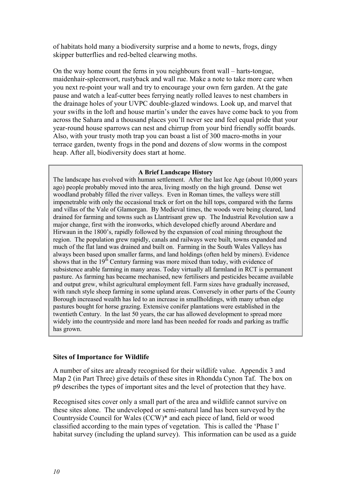of habitats hold many a biodiversity surprise and a home to newts, frogs, dingy skipper butterflies and red-belted clearwing moths.

On the way home count the ferns in you neighbours front wall – harts-tongue, maidenhair-spleenwort, rustyback and wall rue. Make a note to take more care when you next re-point your wall and try to encourage your own fern garden. At the gate pause and watch a leaf-cutter bees ferrying neatly rolled leaves to nest chambers in the drainage holes of your UVPC double-glazed windows. Look up, and marvel that your swifts in the loft and house martin's under the eaves have come back to you from across the Sahara and a thousand places you'll never see and feel equal pride that your year-round house sparrows can nest and chirrup from your bird friendly soffit boards. Also, with your trusty moth trap you can boast a list of 300 macro-moths in your terrace garden, twenty frogs in the pond and dozens of slow worms in the compost heap. After all, biodiversity does start at home.

#### **A Brief Landscape History**

The landscape has evolved with human settlement. After the last Ice Age (about 10,000 years ago) people probably moved into the area, living mostly on the high ground. Dense wet woodland probably filled the river valleys. Even in Roman times, the valleys were still impenetrable with only the occasional track or fort on the hill tops, compared with the farms and villas of the Vale of Glamorgan. By Medieval times, the woods were being cleared, land drained for farming and towns such as Llantrisant grew up. The Industrial Revolution saw a major change, first with the ironworks, which developed chiefly around Aberdare and Hirwaun in the 1800's, rapidly followed by the expansion of coal mining throughout the region. The population grew rapidly, canals and railways were built, towns expanded and much of the flat land was drained and built on. Farming in the South Wales Valleys has always been based upon smaller farms, and land holdings (often held by miners). Evidence shows that in the  $19<sup>th</sup>$  Century farming was more mixed than today, with evidence of subsistence arable farming in many areas. Today virtually all farmland in RCT is permanent pasture. As farming has became mechanised, new fertilisers and pesticides became available and output grew, whilst agricultural employment fell. Farm sizes have gradually increased, with ranch style sheep farming in some upland areas. Conversely in other parts of the County Borough increased wealth has led to an increase in smallholdings, with many urban edge pastures bought for horse grazing. Extensive conifer plantations were established in the twentieth Century. In the last 50 years, the car has allowed development to spread more widely into the countryside and more land has been needed for roads and parking as traffic has grown.

#### **Sites of Importance for Wildlife**

A number of sites are already recognised for their wildlife value. Appendix 3 and Map 2 (in Part Three) give details of these sites in Rhondda Cynon Taf. The box on p9 describes the types of important sites and the level of protection that they have.

Recognised sites cover only a small part of the area and wildlife cannot survive on these sites alone. The undeveloped or semi-natural land has been surveyed by the Countryside Council for Wales (CCW)\* and each piece of land, field or wood classified according to the main types of vegetation. This is called the 'Phase I' habitat survey (including the upland survey). This information can be used as a guide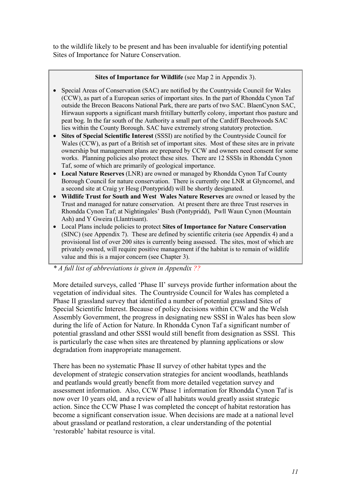to the wildlife likely to be present and has been invaluable for identifying potential Sites of Importance for Nature Conservation.

#### **Sites of Importance for Wildlife** (see Map 2 in Appendix 3).

- Special Areas of Conservation (SAC) are notified by the Countryside Council for Wales (CCW), as part of a European series of important sites. In the part of Rhondda Cynon Taf outside the Brecon Beacons National Park, there are parts of two SAC. BlaenCynon SAC, Hirwaun supports a significant marsh fritillary butterfly colony, important rhos pasture and peat bog. In the far south of the Authority a small part of the Cardiff Beechwoods SAC lies within the County Borough. SAC have extremely strong statutory protection.
- **Sites of Special Scientific Interest** (SSSI) are notified by the Countryside Council for Wales (CCW), as part of a British set of important sites. Most of these sites are in private ownership but management plans are prepared by CCW and owners need consent for some works. Planning policies also protect these sites. There are 12 SSSIs in Rhondda Cynon Taf, some of which are primarily of geological importance.
- **Local Nature Reserves** (LNR) are owned or managed by Rhondda Cynon Taf County Borough Council for nature conservation. There is currently one LNR at Glyncornel, and a second site at Craig yr Hesg (Pontypridd) will be shortly designated.
- **Wildlife Trust for South and West Wales Nature Reserves** are owned or leased by the Trust and managed for nature conservation. At present there are three Trust reserves in Rhondda Cynon Taf; at Nightingales' Bush (Pontypridd), Pwll Waun Cynon (Mountain Ash) and Y Gweira (Llantrisant).
- Local Plans include policies to protect **Sites of Importance for Nature Conservation** (SINC) (see Appendix 7). These are defined by scientific criteria (see Appendix 4) and a provisional list of over 200 sites is currently being assessed. The sites, most of which are privately owned, will require positive management if the habitat is to remain of wildlife value and this is a major concern (see Chapter 3).

*\* A full list of abbreviations is given in Appendix ??*

More detailed surveys, called 'Phase II' surveys provide further information about the vegetation of individual sites. The Countryside Council for Wales has completed a Phase II grassland survey that identified a number of potential grassland Sites of Special Scientific Interest. Because of policy decisions within CCW and the Welsh Assembly Government, the progress in designating new SSSI in Wales has been slow during the life of Action for Nature. In Rhondda Cynon Taf a significant number of potential grassland and other SSSI would still benefit from designation as SSSI. This is particularly the case when sites are threatened by planning applications or slow degradation from inappropriate management.

There has been no systematic Phase II survey of other habitat types and the development of strategic conservation strategies for ancient woodlands, heathlands and peatlands would greatly benefit from more detailed vegetation survey and assessment information. Also, CCW Phase 1 information for Rhondda Cynon Taf is now over 10 years old, and a review of all habitats would greatly assist strategic action. Since the CCW Phase I was completed the concept of habitat restoration has become a significant conservation issue. When decisions are made at a national level about grassland or peatland restoration, a clear understanding of the potential 'restorable' habitat resource is vital.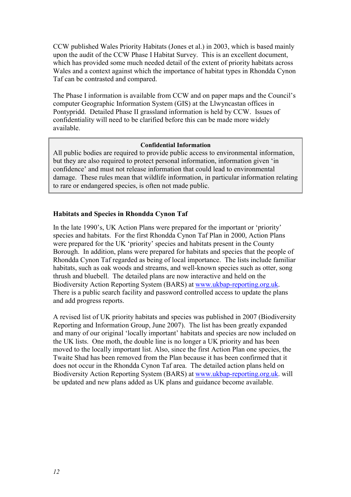CCW published Wales Priority Habitats (Jones et al.) in 2003, which is based mainly upon the audit of the CCW Phase I Habitat Survey. This is an excellent document, which has provided some much needed detail of the extent of priority habitats across Wales and a context against which the importance of habitat types in Rhondda Cynon Taf can be contrasted and compared.

The Phase I information is available from CCW and on paper maps and the Council's computer Geographic Information System (GIS) at the Llwyncastan offices in Pontypridd. Detailed Phase II grassland information is held by CCW. Issues of confidentiality will need to be clarified before this can be made more widely available.

#### **Confidential Information**

All public bodies are required to provide public access to environmental information, but they are also required to protect personal information, information given 'in confidence' and must not release information that could lead to environmental damage. These rules mean that wildlife information, in particular information relating to rare or endangered species, is often not made public.

## **Habitats and Species in Rhondda Cynon Taf**

In the late 1990's, UK Action Plans were prepared for the important or 'priority' species and habitats. For the first Rhondda Cynon Taf Plan in 2000, Action Plans were prepared for the UK 'priority' species and habitats present in the County Borough. In addition, plans were prepared for habitats and species that the people of Rhondda Cynon Taf regarded as being of local importance. The lists include familiar habitats, such as oak woods and streams, and well-known species such as otter, song thrush and bluebell. The detailed plans are now interactive and held on the Biodiversity Action Reporting System (BARS) at www.ukbap-reporting.org.uk. There is a public search facility and password controlled access to update the plans and add progress reports.

A revised list of UK priority habitats and species was published in 2007 (Biodiversity Reporting and Information Group, June 2007). The list has been greatly expanded and many of our original 'locally important' habitats and species are now included on the UK lists. One moth, the double line is no longer a UK priority and has been moved to the locally important list. Also, since the first Action Plan one species, the Twaite Shad has been removed from the Plan because it has been confirmed that it does not occur in the Rhondda Cynon Taf area. The detailed action plans held on Biodiversity Action Reporting System (BARS) at www.ukbap-reporting.org.uk. will be updated and new plans added as UK plans and guidance become available.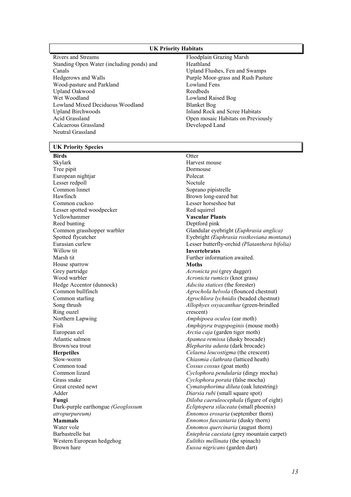#### **UK Priority Habitats**

- Rivers and Streams Standing Open Water (including ponds) and Canals Hedgerows and Walls Wood-pasture and Parkland Upland Oakwood Wet Woodland Lowland Mixed Deciduous Woodland Upland Birchwoods Acid Grassland Calcaerous Grassland Neutral Grassland
- Floodplain Grazing Marsh Heathland Upland Flushes, Fen and Swamps Purple Moor-grass and Rush Pasture Lowland Fens Reedbeds Lowland Raised Bog Blanket Bog Inland Rock and Scree Habitats Open mosaic Habitats on Previously Developed Land

#### **UK Priority Species**

#### **Birds**

Skylark Tree pipit European nightjar Lesser redpoll Common linnet Hawfinch Common cuckoo Lesser spotted woodpecker Yellowhammer Reed bunting Common grasshopper warbler Spotted flycatcher Eurasian curlew Willow tit Marsh tit House sparrow Grey partridge Wood warbler Hedge Accentor (dunnock) Common bullfinch Common starling Song thrush Ring ouzel Northern Lapwing Fish European eel Atlantic salmon Brown/sea trout **Herpetiles**  Slow-worm Common toad Common lizard Grass snake Great crested newt Adder **Fungi**  Dark-purple earthongue *(Geoglossum atropurpureum)*  **Mammals**  Water vole Barbastrelle bat Western European hedgehog Brown hare

**Otter** Harvest mouse Dormouse Polecat Noctule Soprano pipistrelle Brown long-eared bat Lesser horseshoe bat Red squirrel **Vascular Plants**  Deptford pink Glandular eyebright (*Euphrasia anglica)*  Eyebright *(Euphrasia rostkoviana montana*) Lesser butterfly-orchid *(Platanthera bifolia)*  **Invertebrates**  Further information awaited. **Moths**  *Acronicta psi* (grey dagger) *Acronicta rumicis* (knot grass*) Adscita statices* (the forester) *Agrochola helvola* (flounced chestnut) *Agrochlora lychnidis* (beaded chestnut) *Allophyes oxyacanthae* (green-brindled crescent) *Amphipoea oculea* (ear moth) *Amphipyra tragopoginis* (mouse moth) *Arctia caja* (garden tiger moth) *Apamea remissa* (dusky brocade) *Blepharita adusta* (dark brocade) *Celaena leucostigma* (the crescent) *Chiasmia clathrata* (latticed heath) *Cossus cossus* (goat moth) *Cyclophora pendularia* (dingy mocha) *Cyclophora porata* (false mocha) *Cymatophorima diluta* (oak lutestring) *Diarsia rubi* (small square spot) *Diloba caeruleocephala* (figure of eight) *Ecliptopera silaceata* (small phoenix) *Ennomos erosaria* (september thorn) *Ennomos fuscantaria* (dusky thorn) *Ennomos quercinaria* (august thorn) *Entephria caesiata* (grey mountain carpet) *Eulithis mellinata* (the spinach) *Euxoa nigricans* (garden dart)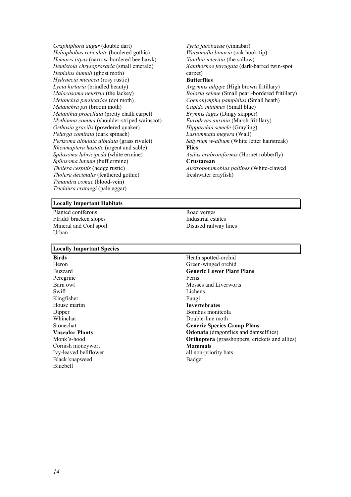*Graphiphora augur* (double dart) *Heliophobus reticulate* (bordered gothic) *Hemaris tityus* (narrow-bordered bee hawk) *Hemistola chrysoprasaria* (small emerald) *Hepialus humuli* (ghost moth) *Hydraecia micacea* (rosy rustic) *Lycia hirtaria* (brindled beauty) *Malacosoma neustria* (the lackey) *Melanchra persicariae* (dot moth) *Melanchra psi* (broom moth) *Melanthia procellata* (pretty chalk carpet) *Mythimna comma* (shoulder-striped wainscot) *Orthosia gracilis* (powdered quaker) *Pelurga comitata* (dark spinach) *Perizoma albulata albulata* (grass rivulet) *Rheumaptera hastate* (argent and sable) *Spilosoma lubricipeda* (white ermine) *Spilosoma luteum* (buff ermine) *Tholera cespitis* (hedge rustic) *Tholera decimalis* (feathered gothic) *Timandra comae* (blood-vein) *Trichiura crataegi* (pale eggar)

#### *Tyria jacobaeae* (cinnabar) *Watsonalla binaria* (oak hook-tip) *Xanthia icteritia* (the sallow) *Xanthorhoe ferrugata* (dark-barred twin-spot carpet) **Butterflies**  *Argynnis adippe* (High brown fritillary) *Boloria selene* (Small pearl-bordered fritillary) *Coenonympha pamphilus* (Small heath) *Cupido minimus* (Small blue) *Erynnis tages* (Dingy skipper) *Eurodryas aurinia* (Marsh fritillary) *Hipparchia semele* (Grayling) *Lasiommata megera* (Wall) *Satyrium w-album* (White letter hairstreak) **Flies**  *Asilus crabroniformis* (Hornet robberfly) **Crustacean**  *Austropotamobius pallipes* (White-clawed freshwater crayfish)

#### **Locally Important Habitats**

Planted coniferous Ffridd/ bracken slopes Mineral and Coal spoil Urban

#### **Locally Important Species**

**Birds**  Heron Buzzard Peregrine Barn owl Swift Kingfisher House martin Dipper Whinchat Stonechat **Vascular Plants**  Monk's-hood Cornish moneywort Ivy-leaved bellflower Black knapweed Bluebell

Road verges Industrial estates Disused railway lines

Heath spotted-orchid Green-winged orchid **Generic Lower Plant Plans**  Ferns Mosses and Liverworts Lichens Fungi **Invertebrates**  Bombus monitcola Double-line moth **Generic Species Group Plans Odonata** (dragonflies and damselflies) **Orthoptera** (grasshoppers, crickets and allies) **Mammals**  all non-priority bats Badger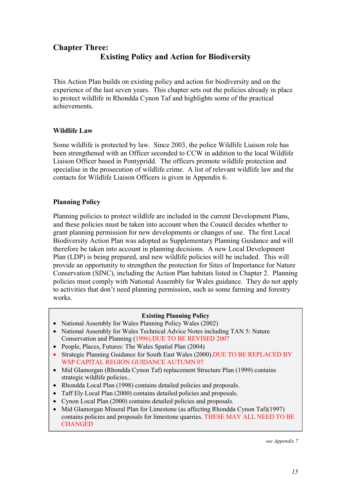# **Chapter Three: Existing Policy and Action for Biodiversity**

This Action Plan builds on existing policy and action for biodiversity and on the experience of the last seven years. This chapter sets out the policies already in place to protect wildlife in Rhondda Cynon Taf and highlights some of the practical achievements.

## **Wildlife Law**

Some wildlife is protected by law. Since 2003, the police Wildlife Liaison role has been strengthened with an Officer seconded to CCW in addition to the local Wildlife Liaison Officer based in Pontypridd. The officers promote wildlife protection and specialise in the prosecution of wildlife crime. A list of relevant wildlife law and the contacts for Wildlife Liaison Officers is given in Appendix 6.

## **Planning Policy**

Planning policies to protect wildlife are included in the current Development Plans, and these policies must be taken into account when the Council decides whether to grant planning permission for new developments or changes of use. The first Local Biodiversity Action Plan was adopted as Supplementary Planning Guidance and will therefore be taken into account in planning decisions. A new Local Development Plan (LDP) is being prepared, and new wildlife policies will be included. This will provide an opportunity to strengthen the protection for Sites of Importance for Nature Conservation (SINC), including the Action Plan habitats listed in Chapter 2. Planning policies must comply with National Assembly for Wales guidance. They do not apply to activities that don't need planning permission, such as some farming and forestry works.

#### **Existing Planning Policy**

- National Assembly for Wales Planning Policy Wales (2002)
- National Assembly for Wales Technical Advice Notes including TAN 5: Nature Conservation and Planning (1996).DUE TO BE REVISED 2007
- People, Places, Futures: The Wales Spatial Plan (2004)
- Strategic Planning Guidance for South East Wales (2000). DUE TO BE REPLACED BY WSP CAPITAL REGION GUIDANCE AUTUMN 07
- Mid Glamorgan (Rhondda Cynon Taf) replacement Structure Plan (1999) contains strategic wildlife policies..
- Rhondda Local Plan (1998) contains detailed policies and proposals.
- Taff Ely Local Plan (2000) contains detailed policies and proposals.
- Cynon Local Plan (2000) contains detailed policies and proposals.
- Mid Glamorgan Mineral Plan for Limestone (as affecting Rhondda Cynon Taf)(1997) contains policies and proposals for limestone quarries. THESE MAY ALL NEED TO BE **CHANGED**

*see Appendix 7*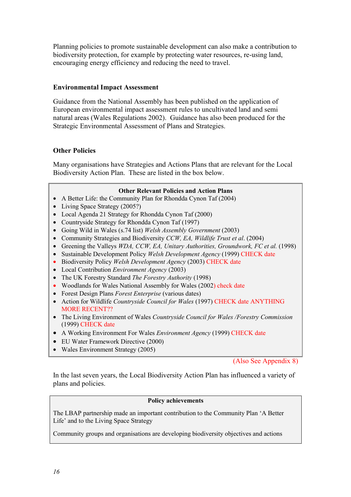Planning policies to promote sustainable development can also make a contribution to biodiversity protection, for example by protecting water resources, re-using land, encouraging energy efficiency and reducing the need to travel.

## **Environmental Impact Assessment**

Guidance from the National Assembly has been published on the application of European environmental impact assessment rules to uncultivated land and semi natural areas (Wales Regulations 2002). Guidance has also been produced for the Strategic Environmental Assessment of Plans and Strategies.

## **Other Policies**

Many organisations have Strategies and Actions Plans that are relevant for the Local Biodiversity Action Plan. These are listed in the box below.

#### **Other Relevant Policies and Action Plans**

- A Better Life: the Community Plan for Rhondda Cynon Taf (2004)
- Living Space Strategy (2005?)
- Local Agenda 21 Strategy for Rhondda Cynon Taf (2000)
- Countryside Strategy for Rhondda Cynon Taf (1997)
- Going Wild in Wales (s.74 list) *Welsh Assembly Government* (2003)
- Community Strategies and Biodiversity *CCW, EA, Wildlife Trust et al*. (2004)
- Greening the Valleys *WDA, CCW, EA, Unitary Authorities, Groundwork, FC et al.* (1998)
- Sustainable Development Policy *Welsh Development Agency* (1999) CHECK date
- Biodiversity Policy *Welsh Development Agency* (2003) CHECK date
- Local Contribution *Environment Agency* (2003)
- The UK Forestry Standard *The Forestry Authority* (1998)
- Woodlands for Wales National Assembly for Wales (2002) check date
- Forest Design Plans *Forest Enterprise* (various dates)
- Action for Wildlife *Countryside Council for Wales* (1997) CHECK date ANYTHING MORE RECENT??
- The Living Environment of Wales *Countryside Council for Wales /Forestry Commission* (1999) CHECK date
- A Working Environment For Wales *Environment Agency* (1999) CHECK date
- EU Water Framework Directive (2000)
- Wales Environment Strategy (2005)

(Also See Appendix 8)

In the last seven years, the Local Biodiversity Action Plan has influenced a variety of plans and policies.

#### **Policy achievements**

The LBAP partnership made an important contribution to the Community Plan 'A Better Life' and to the Living Space Strategy

Community groups and organisations are developing biodiversity objectives and actions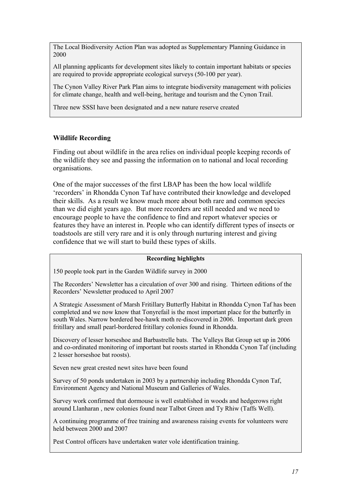The Local Biodiversity Action Plan was adopted as Supplementary Planning Guidance in 2000

All planning applicants for development sites likely to contain important habitats or species are required to provide appropriate ecological surveys (50-100 per year).

The Cynon Valley River Park Plan aims to integrate biodiversity management with policies for climate change, health and well-being, heritage and tourism and the Cynon Trail.

Three new SSSI have been designated and a new nature reserve created

#### **Wildlife Recording**

Finding out about wildlife in the area relies on individual people keeping records of the wildlife they see and passing the information on to national and local recording organisations.

One of the major successes of the first LBAP has been the how local wildlife 'recorders' in Rhondda Cynon Taf have contributed their knowledge and developed their skills. As a result we know much more about both rare and common species than we did eight years ago. But more recorders are still needed and we need to encourage people to have the confidence to find and report whatever species or features they have an interest in. People who can identify different types of insects or toadstools are still very rare and it is only through nurturing interest and giving confidence that we will start to build these types of skills.

#### **Recording highlights**

150 people took part in the Garden Wildlife survey in 2000

The Recorders' Newsletter has a circulation of over 300 and rising. Thirteen editions of the Recorders' Newsletter produced to April 2007

A Strategic Assessment of Marsh Fritillary Butterfly Habitat in Rhondda Cynon Taf has been completed and we now know that Tonyrefail is the most important place for the butterfly in south Wales. Narrow bordered bee-hawk moth re-discovered in 2006. Important dark green fritillary and small pearl-bordered fritillary colonies found in Rhondda.

Discovery of lesser horseshoe and Barbastrelle bats. The Valleys Bat Group set up in 2006 and co-ordinated monitoring of important bat roosts started in Rhondda Cynon Taf (including 2 lesser horseshoe bat roosts).

Seven new great crested newt sites have been found

Survey of 50 ponds undertaken in 2003 by a partnership including Rhondda Cynon Taf, Environment Agency and National Museum and Galleries of Wales.

Survey work confirmed that dormouse is well established in woods and hedgerows right around Llanharan , new colonies found near Talbot Green and Ty Rhiw (Taffs Well).

A continuing programme of free training and awareness raising events for volunteers were held between 2000 and 2007

Pest Control officers have undertaken water vole identification training.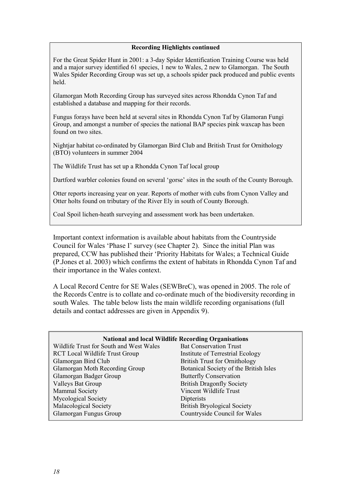#### **Recording Highlights continued**

For the Great Spider Hunt in 2001: a 3-day Spider Identification Training Course was held and a major survey identified 61 species, 1 new to Wales, 2 new to Glamorgan. The South Wales Spider Recording Group was set up, a schools spider pack produced and public events held.

Glamorgan Moth Recording Group has surveyed sites across Rhondda Cynon Taf and established a database and mapping for their records.

Fungus forays have been held at several sites in Rhondda Cynon Taf by Glamoran Fungi Group, and amongst a number of species the national BAP species pink waxcap has been found on two sites.

Nightjar habitat co-ordinated by Glamorgan Bird Club and British Trust for Ornithology (BTO) volunteers in summer 2004

The Wildlife Trust has set up a Rhondda Cynon Taf local group

Dartford warbler colonies found on several 'gorse' sites in the south of the County Borough.

Otter reports increasing year on year. Reports of mother with cubs from Cynon Valley and Otter holts found on tributary of the River Ely in south of County Borough.

Coal Spoil lichen-heath surveying and assessment work has been undertaken.

Important context information is available about habitats from the Countryside Council for Wales 'Phase I' survey (see Chapter 2). Since the initial Plan was prepared, CCW has published their 'Priority Habitats for Wales; a Technical Guide (P.Jones et al. 2003) which confirms the extent of habitats in Rhondda Cynon Taf and their importance in the Wales context.

A Local Record Centre for SE Wales (SEWBreC), was opened in 2005. The role of the Records Centre is to collate and co-ordinate much of the biodiversity recording in south Wales. The table below lists the main wildlife recording organisations (full details and contact addresses are given in Appendix 9).

| <b>National and local Wildlife Recording Organisations</b> |                                        |  |
|------------------------------------------------------------|----------------------------------------|--|
| Wildlife Trust for South and West Wales                    | <b>Bat Conservation Trust</b>          |  |
| <b>RCT</b> Local Wildlife Trust Group                      | Institute of Terrestrial Ecology       |  |
| Glamorgan Bird Club                                        | <b>British Trust for Ornithology</b>   |  |
| Glamorgan Moth Recording Group                             | Botanical Society of the British Isles |  |
| Glamorgan Badger Group                                     | <b>Butterfly Conservation</b>          |  |
| Valleys Bat Group                                          | <b>British Dragonfly Society</b>       |  |
| Mammal Society                                             | Vincent Wildlife Trust                 |  |
| Mycological Society                                        | Dipterists                             |  |
| Malacological Society                                      | <b>British Bryological Society</b>     |  |
| Glamorgan Fungus Group                                     | Countryside Council for Wales          |  |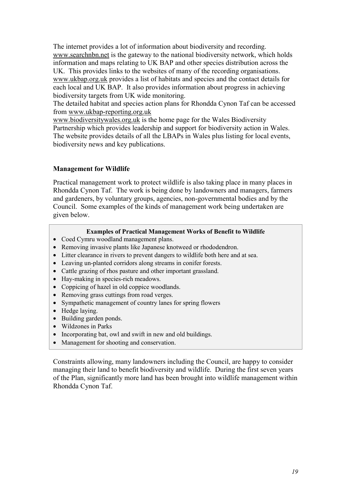The internet provides a lot of information about biodiversity and recording. www.searchnbn.net is the gateway to the national biodiversity network, which holds information and maps relating to UK BAP and other species distribution across the UK. This provides links to the websites of many of the recording organisations. www.ukbap.org.uk provides a list of habitats and species and the contact details for each local and UK BAP. It also provides information about progress in achieving biodiversity targets from UK wide monitoring.

The detailed habitat and species action plans for Rhondda Cynon Taf can be accessed from www.ukbap-reporting.org.uk

www.biodiversitywales.org.uk is the home page for the Wales Biodiversity Partnership which provides leadership and support for biodiversity action in Wales. The website provides details of all the LBAPs in Wales plus listing for local events, biodiversity news and key publications.

## **Management for Wildlife**

Practical management work to protect wildlife is also taking place in many places in Rhondda Cynon Taf. The work is being done by landowners and managers, farmers and gardeners, by voluntary groups, agencies, non-governmental bodies and by the Council. Some examples of the kinds of management work being undertaken are given below.

## **Examples of Practical Management Works of Benefit to Wildlife**

- Coed Cymru woodland management plans.
- Removing invasive plants like Japanese knotweed or rhododendron.
- Litter clearance in rivers to prevent dangers to wildlife both here and at sea.
- Leaving un-planted corridors along streams in conifer forests.
- Cattle grazing of rhos pasture and other important grassland.
- Hay-making in species-rich meadows.
- Coppicing of hazel in old coppice woodlands.
- Removing grass cuttings from road verges.
- Sympathetic management of country lanes for spring flowers
- Hedge laying.
- Building garden ponds.
- Wildzones in Parks
- Incorporating bat, owl and swift in new and old buildings.
- Management for shooting and conservation.

Constraints allowing, many landowners including the Council, are happy to consider managing their land to benefit biodiversity and wildlife. During the first seven years of the Plan, significantly more land has been brought into wildlife management within Rhondda Cynon Taf.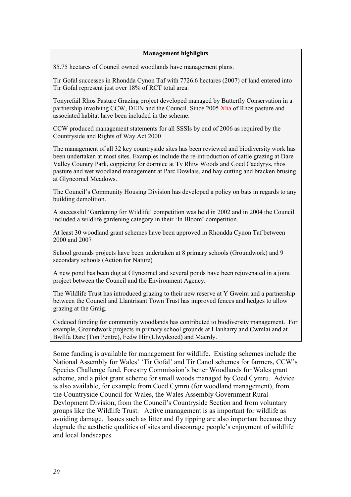#### **Management highlights**

85.75 hectares of Council owned woodlands have management plans.

Tir Gofal successes in Rhondda Cynon Taf with 7726.6 hectares (2007) of land entered into Tir Gofal represent just over 18% of RCT total area.

Tonyrefail Rhos Pasture Grazing project developed managed by Butterfly Conservation in a partnership involving CCW, DEIN and the Council. Since 2005 Xha of Rhos pasture and associated habitat have been included in the scheme.

CCW produced management statements for all SSSIs by end of 2006 as required by the Countryside and Rights of Way Act 2000

The management of all 32 key countryside sites has been reviewed and biodiversity work has been undertaken at most sites. Examples include the re-introduction of cattle grazing at Dare Valley Country Park, coppicing for dormice at Ty Rhiw Woods and Coed Caedyrys, rhos pasture and wet woodland management at Parc Dowlais, and hay cutting and bracken brusing at Glyncornel Meadows.

The Council's Community Housing Division has developed a policy on bats in regards to any building demolition.

A successful 'Gardening for Wildlife' competition was held in 2002 and in 2004 the Council included a wildlife gardening category in their 'In Bloom' competition.

At least 30 woodland grant schemes have been approved in Rhondda Cynon Taf between 2000 and 2007

School grounds projects have been undertaken at 8 primary schools (Groundwork) and 9 secondary schools (Action for Nature)

A new pond has been dug at Glyncornel and several ponds have been rejuvenated in a joint project between the Council and the Environment Agency.

The Wildlife Trust has introduced grazing to their new reserve at Y Gweira and a partnership between the Council and Llantrisant Town Trust has improved fences and hedges to allow grazing at the Graig.

Cydcoed funding for community woodlands has contributed to biodiversity management. For example, Groundwork projects in primary school grounds at Llanharry and Cwmlai and at Bwllfa Dare (Ton Pentre), Fedw Hir (Llwydcoed) and Maerdy.

Some funding is available for management for wildlife. Existing schemes include the National Assembly for Wales' 'Tir Gofal' and Tir Canol schemes for farmers, CCW's Species Challenge fund, Forestry Commission's better Woodlands for Wales grant scheme, and a pilot grant scheme for small woods managed by Coed Cymru. Advice is also available, for example from Coed Cymru (for woodland management), from the Countryside Council for Wales, the Wales Assembly Government Rural Devlopment Division, from the Council's Countryside Section and from voluntary groups like the Wildlife Trust. Active management is as important for wildlife as avoiding damage. Issues such as litter and fly tipping are also important because they degrade the aesthetic qualities of sites and discourage people's enjoyment of wildlife and local landscapes.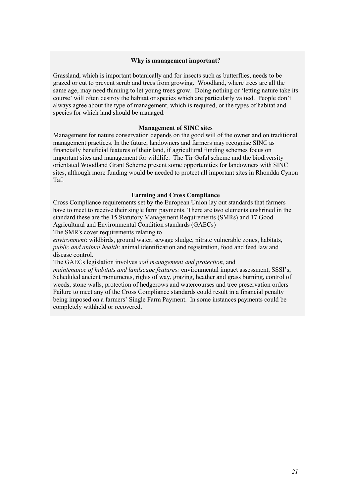#### **Why is management important?**

Grassland, which is important botanically and for insects such as butterflies, needs to be grazed or cut to prevent scrub and trees from growing. Woodland, where trees are all the same age, may need thinning to let young trees grow. Doing nothing or 'letting nature take its course' will often destroy the habitat or species which are particularly valued. People don't always agree about the type of management, which is required, or the types of habitat and species for which land should be managed.

#### **Management of SINC sites**

Management for nature conservation depends on the good will of the owner and on traditional management practices. In the future, landowners and farmers may recognise SINC as financially beneficial features of their land, if agricultural funding schemes focus on important sites and management for wildlife. The Tir Gofal scheme and the biodiversity orientated Woodland Grant Scheme present some opportunities for landowners with SINC sites, although more funding would be needed to protect all important sites in Rhondda Cynon Taf.

#### **Farming and Cross Compliance**

Cross Compliance requirements set by the European Union lay out standards that farmers have to meet to receive their single farm payments. There are two elements enshrined in the standard these are the 15 Statutory Management Requirements (SMRs) and 17 Good Agricultural and Environmental Condition standards (GAECs)

The SMR's cover requirements relating to

*environment*: wildbirds, ground water, sewage sludge, nitrate vulnerable zones, habitats, *public and animal health*: animal identification and registration, food and feed law and disease control.

The GAECs legislation involves *soil management and protection,* and *maintenance of habitats and landscape features:* environmental impact assessment, SSSI's, Scheduled ancient monuments, rights of way, grazing, heather and grass burning, control of weeds, stone walls, protection of hedgerows and watercourses and tree preservation orders Failure to meet any of the Cross Compliance standards could result in a financial penalty being imposed on a farmers' Single Farm Payment. In some instances payments could be completely withheld or recovered.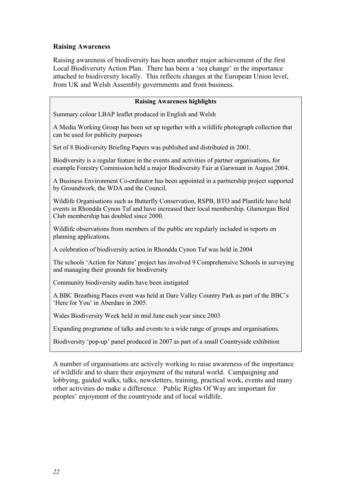## **Raising Awareness**

Raising awareness of biodiversity has been another major achievement of the first Local Biodiversity Action Plan. There has been a 'sea change' in the importance attached to biodiversity locally. This reflects changes at the European Union level, from UK and Welsh Assembly governments and from business.

#### **Raising Awareness highlights**

Summary colour LBAP leaflet produced in English and Welsh

A Media Working Group has been set up together with a wildlife photograph collection that can be used for publicity purposes

Set of 8 Biodiversity Briefing Papers was published and distributed in 2001.

Biodiversity is a regular feature in the events and activities of partner organisations, for example Forestry Commission held a major Biodiversity Fair at Garwnant in August 2004.

A Business Environment Co-ordinator has been appointed in a partnership project supported by Groundwork, the WDA and the Council.

Wildlife Organisations such as Butterfly Conservation, RSPB, BTO and Plantlife have held events in Rhondda Cynon Taf and have increased their local membership. Glamorgan Bird Club membership has doubled since 2000.

Wildlife observations from members of the public are regularly included in reports on planning applications.

A celebration of biodiversity action in Rhondda Cynon Taf was held in 2004

The schools 'Action for Nature' project has involved 9 Comprehensive Schools in surveying and managing their grounds for biodiversity

Community biodiversity audits have been instigated

A BBC Breathing Places event was held at Dare Valley Country Park as part of the BBC's 'Here for You' in Aberdare in 2005.

Wales Biodiversity Week held in mid June each year since 2003

Expanding programme of talks and events to a wide range of groups and organisations.

Biodiversity 'pop-up' panel produced in 2007 as part of a small Countryside exhibition

A number of organisations are actively working to raise awareness of the importance of wildlife and to share their enjoyment of the natural world. Campaigning and lobbying, guided walks, talks, newsletters, training, practical work, events and many other activities do make a difference. Public Rights Of Way are important for peoples' enjoyment of the countryside and of local wildlife.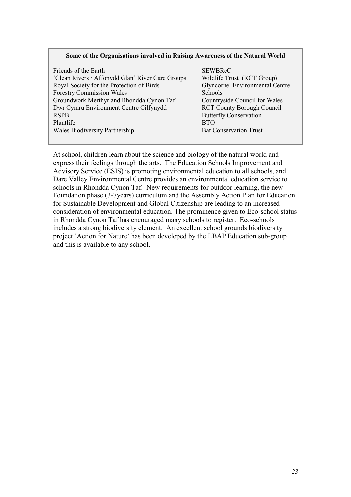#### **Some of the Organisations involved in Raising Awareness of the Natural World**

| Friends of the Earth                             | <b>SEWBReC</b>                         |
|--------------------------------------------------|----------------------------------------|
| 'Clean Rivers / Affonydd Glan' River Care Groups | Wildlife Trust (RCT Group)             |
| Royal Society for the Protection of Birds        | <b>Glyncornel Environmental Centre</b> |
| <b>Forestry Commission Wales</b>                 | Schools                                |
| Groundwork Merthyr and Rhondda Cynon Taf         | Countryside Council for Wales          |
| Dwr Cymru Environment Centre Cilfynydd           | <b>RCT County Borough Council</b>      |
| <b>RSPB</b>                                      | <b>Butterfly Conservation</b>          |
| Plantlife                                        | <b>BTO</b>                             |
| Wales Biodiversity Partnership                   | <b>Bat Conservation Trust</b>          |
|                                                  |                                        |

At school, children learn about the science and biology of the natural world and express their feelings through the arts. The Education Schools Improvement and Advisory Service (ESIS) is promoting environmental education to all schools, and Dare Valley Environmental Centre provides an environmental education service to schools in Rhondda Cynon Taf. New requirements for outdoor learning, the new Foundation phase (3-7years) curriculum and the Assembly Action Plan for Education for Sustainable Development and Global Citizenship are leading to an increased consideration of environmental education. The prominence given to Eco-school status in Rhondda Cynon Taf has encouraged many schools to register. Eco-schools includes a strong biodiversity element. An excellent school grounds biodiversity project 'Action for Nature' has been developed by the LBAP Education sub-group and this is available to any school.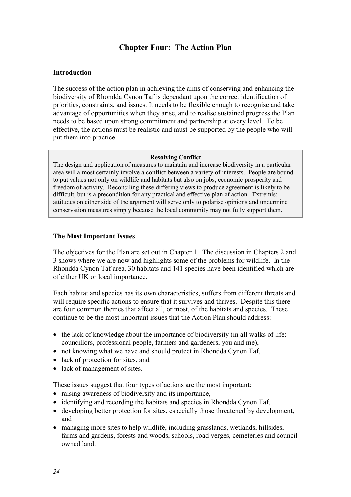# **Chapter Four: The Action Plan**

## **Introduction**

The success of the action plan in achieving the aims of conserving and enhancing the biodiversity of Rhondda Cynon Taf is dependant upon the correct identification of priorities, constraints, and issues. It needs to be flexible enough to recognise and take advantage of opportunities when they arise, and to realise sustained progress the Plan needs to be based upon strong commitment and partnership at every level. To be effective, the actions must be realistic and must be supported by the people who will put them into practice.

#### **Resolving Conflict**

The design and application of measures to maintain and increase biodiversity in a particular area will almost certainly involve a conflict between a variety of interests. People are bound to put values not only on wildlife and habitats but also on jobs, economic prosperity and freedom of activity. Reconciling these differing views to produce agreement is likely to be difficult, but is a precondition for any practical and effective plan of action. Extremist attitudes on either side of the argument will serve only to polarise opinions and undermine conservation measures simply because the local community may not fully support them.

## **The Most Important Issues**

The objectives for the Plan are set out in Chapter 1. The discussion in Chapters 2 and 3 shows where we are now and highlights some of the problems for wildlife. In the Rhondda Cynon Taf area, 30 habitats and 141 species have been identified which are of either UK or local importance.

Each habitat and species has its own characteristics, suffers from different threats and will require specific actions to ensure that it survives and thrives. Despite this there are four common themes that affect all, or most, of the habitats and species. These continue to be the most important issues that the Action Plan should address:

- the lack of knowledge about the importance of biodiversity (in all walks of life: councillors, professional people, farmers and gardeners, you and me),
- not knowing what we have and should protect in Rhondda Cynon Taf,
- lack of protection for sites, and
- lack of management of sites.

These issues suggest that four types of actions are the most important:

- raising awareness of biodiversity and its importance,
- identifying and recording the habitats and species in Rhondda Cynon Taf,
- developing better protection for sites, especially those threatened by development, and
- managing more sites to help wildlife, including grasslands, wetlands, hillsides, farms and gardens, forests and woods, schools, road verges, cemeteries and council owned land.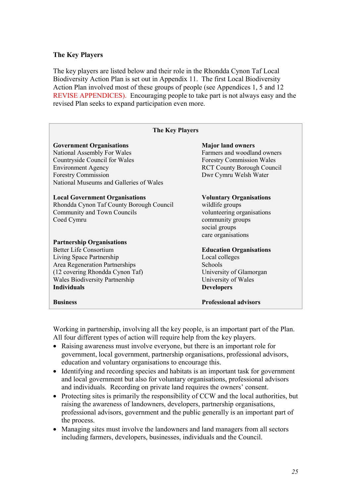#### **The Key Players**

The key players are listed below and their role in the Rhondda Cynon Taf Local Biodiversity Action Plan is set out in Appendix 11. The first Local Biodiversity Action Plan involved most of these groups of people (see Appendices 1, 5 and 12 REVISE APPENDICES). Encouraging people to take part is not always easy and the revised Plan seeks to expand participation even more.

| <b>The Key Players</b>                   |                                   |  |
|------------------------------------------|-----------------------------------|--|
| <b>Government Organisations</b>          | <b>Major land owners</b>          |  |
| National Assembly For Wales              | Farmers and woodland owners       |  |
| Countryside Council for Wales            | <b>Forestry Commission Wales</b>  |  |
| <b>Environment Agency</b>                | <b>RCT County Borough Council</b> |  |
| <b>Forestry Commission</b>               | Dwr Cymru Welsh Water             |  |
| National Museums and Galleries of Wales  |                                   |  |
| <b>Local Government Organisations</b>    | <b>Voluntary Organisations</b>    |  |
| Rhondda Cynon Taf County Borough Council | wildlife groups                   |  |
| Community and Town Councils              | volunteering organisations        |  |
| Coed Cymru                               | community groups                  |  |
|                                          | social groups                     |  |
|                                          | care organisations                |  |
| <b>Partnership Organisations</b>         |                                   |  |
| <b>Better Life Consortium</b>            | <b>Education Organisations</b>    |  |
| Living Space Partnership                 | Local colleges                    |  |
| Area Regeneration Partnerships           | Schools                           |  |
| (12 covering Rhondda Cynon Taf)          | University of Glamorgan           |  |
| <b>Wales Biodiversity Partnership</b>    | University of Wales               |  |
| <b>Individuals</b>                       | <b>Developers</b>                 |  |
| <b>Business</b>                          | <b>Professional advisors</b>      |  |

Working in partnership, involving all the key people, is an important part of the Plan. All four different types of action will require help from the key players.

- Raising awareness must involve everyone, but there is an important role for government, local government, partnership organisations, professional advisors, education and voluntary organisations to encourage this.
- Identifying and recording species and habitats is an important task for government and local government but also for voluntary organisations, professional advisors and individuals. Recording on private land requires the owners' consent.
- Protecting sites is primarily the responsibility of CCW and the local authorities, but raising the awareness of landowners, developers, partnership organisations, professional advisors, government and the public generally is an important part of the process.
- Managing sites must involve the landowners and land managers from all sectors including farmers, developers, businesses, individuals and the Council.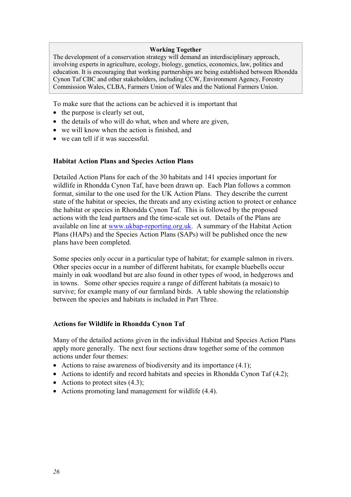#### **Working Together**

The development of a conservation strategy will demand an interdisciplinary approach, involving experts in agriculture, ecology, biology, genetics, economics, law, politics and education. It is encouraging that working partnerships are being established between Rhondda Cynon Taf CBC and other stakeholders, including CCW, Environment Agency, Forestry Commission Wales, CLBA, Farmers Union of Wales and the National Farmers Union.

To make sure that the actions can be achieved it is important that

- the purpose is clearly set out,
- the details of who will do what, when and where are given,
- we will know when the action is finished, and
- we can tell if it was successful.

#### **Habitat Action Plans and Species Action Plans**

Detailed Action Plans for each of the 30 habitats and 141 species important for wildlife in Rhondda Cynon Taf, have been drawn up. Each Plan follows a common format, similar to the one used for the UK Action Plans. They describe the current state of the habitat or species, the threats and any existing action to protect or enhance the habitat or species in Rhondda Cynon Taf. This is followed by the proposed actions with the lead partners and the time-scale set out. Details of the Plans are available on line at www.ukbap-reporting.org.uk. A summary of the Habitat Action Plans (HAPs) and the Species Action Plans (SAPs) will be published once the new plans have been completed.

Some species only occur in a particular type of habitat; for example salmon in rivers. Other species occur in a number of different habitats, for example bluebells occur mainly in oak woodland but are also found in other types of wood, in hedgerows and in towns. Some other species require a range of different habitats (a mosaic) to survive; for example many of our farmland birds. A table showing the relationship between the species and habitats is included in Part Three.

#### **Actions for Wildlife in Rhondda Cynon Taf**

Many of the detailed actions given in the individual Habitat and Species Action Plans apply more generally. The next four sections draw together some of the common actions under four themes:

- Actions to raise awareness of biodiversity and its importance (4.1):
- Actions to identify and record habitats and species in Rhondda Cynon Taf (4.2);
- Actions to protect sites  $(4.3)$ ;
- Actions promoting land management for wildlife (4.4).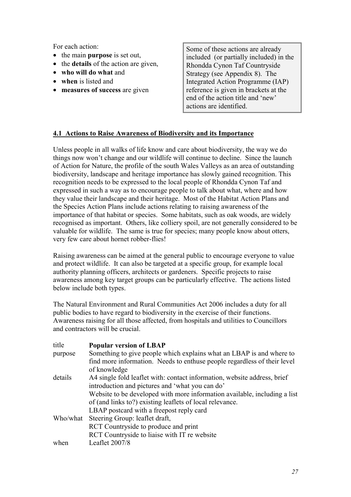For each action:

- the main **purpose** is set out,
- the **details** of the action are given,
- **who will do what** and
- **when** is listed and
- **measures of success** are given

Some of these actions are already included (or partially included) in the Rhondda Cynon Taf Countryside Strategy (see Appendix 8). The Integrated Action Programme (IAP) reference is given in brackets at the end of the action title and 'new' actions are identified.

## **4.1 Actions to Raise Awareness of Biodiversity and its Importance**

Unless people in all walks of life know and care about biodiversity, the way we do things now won't change and our wildlife will continue to decline. Since the launch of Action for Nature, the profile of the south Wales Valleys as an area of outstanding biodiversity, landscape and heritage importance has slowly gained recognition. This recognition needs to be expressed to the local people of Rhondda Cynon Taf and expressed in such a way as to encourage people to talk about what, where and how they value their landscape and their heritage. Most of the Habitat Action Plans and the Species Action Plans include actions relating to raising awareness of the importance of that habitat or species. Some habitats, such as oak woods, are widely recognised as important. Others, like colliery spoil, are not generally considered to be valuable for wildlife. The same is true for species; many people know about otters, very few care about hornet robber-flies!

Raising awareness can be aimed at the general public to encourage everyone to value and protect wildlife. It can also be targeted at a specific group, for example local authority planning officers, architects or gardeners. Specific projects to raise awareness among key target groups can be particularly effective. The actions listed below include both types.

The Natural Environment and Rural Communities Act 2006 includes a duty for all public bodies to have regard to biodiversity in the exercise of their functions. Awareness raising for all those affected, from hospitals and utilities to Councillors and contractors will be crucial.

| title    | <b>Popular version of LBAP</b>                                            |
|----------|---------------------------------------------------------------------------|
| purpose  | Something to give people which explains what an LBAP is and where to      |
|          | find more information. Needs to enthuse people regardless of their level  |
|          | of knowledge                                                              |
| details  | A4 single fold leaflet with: contact information, website address, brief  |
|          | introduction and pictures and 'what you can do'                           |
|          | Website to be developed with more information available, including a list |
|          | of (and links to?) existing leaflets of local relevance.                  |
|          | LBAP postcard with a freepost reply card                                  |
| Who/what | Steering Group: leaflet draft,                                            |
|          | RCT Countryside to produce and print                                      |
|          | RCT Countryside to liaise with IT re website                              |
| when     | Leaflet 2007/8                                                            |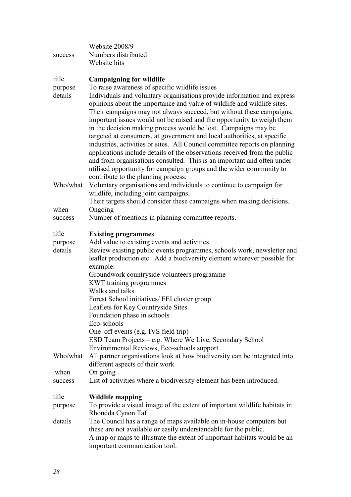| success                     | Website 2008/9<br>Numbers distributed<br>Website hits                                                                                                                                                                                                                                                                                                                                                                                                                                                                                                                                                                                                                                                                                                                                                                                                                                     |
|-----------------------------|-------------------------------------------------------------------------------------------------------------------------------------------------------------------------------------------------------------------------------------------------------------------------------------------------------------------------------------------------------------------------------------------------------------------------------------------------------------------------------------------------------------------------------------------------------------------------------------------------------------------------------------------------------------------------------------------------------------------------------------------------------------------------------------------------------------------------------------------------------------------------------------------|
| title<br>purpose<br>details | <b>Campaigning for wildlife</b><br>To raise awareness of specific wildlife issues<br>Individuals and voluntary organisations provide information and express<br>opinions about the importance and value of wildlife and wildlife sites.<br>Their campaigns may not always succeed, but without these campaigns,<br>important issues would not be raised and the opportunity to weigh them<br>in the decision making process would be lost. Campaigns may be<br>targeted at consumers, at government and local authorities, at specific<br>industries, activities or sites. All Council committee reports on planning<br>applications include details of the observations received from the public<br>and from organisations consulted. This is an important and often under<br>utilised opportunity for campaign groups and the wider community to<br>contribute to the planning process. |
| Who/what                    | Voluntary organisations and individuals to continue to campaign for<br>wildlife, including joint campaigns.<br>Their targets should consider these campaigns when making decisions.                                                                                                                                                                                                                                                                                                                                                                                                                                                                                                                                                                                                                                                                                                       |
| when                        | Ongoing                                                                                                                                                                                                                                                                                                                                                                                                                                                                                                                                                                                                                                                                                                                                                                                                                                                                                   |
| success                     | Number of mentions in planning committee reports.                                                                                                                                                                                                                                                                                                                                                                                                                                                                                                                                                                                                                                                                                                                                                                                                                                         |
| title<br>purpose            | <b>Existing programmes</b><br>Add value to existing events and activities                                                                                                                                                                                                                                                                                                                                                                                                                                                                                                                                                                                                                                                                                                                                                                                                                 |
| details                     | Review existing public events programmes, schools work, newsletter and<br>leaflet production etc. Add a biodiversity element wherever possible for<br>example:                                                                                                                                                                                                                                                                                                                                                                                                                                                                                                                                                                                                                                                                                                                            |
|                             | Groundwork countryside volunteers programme<br>KWT training programmes<br>Walks and talks                                                                                                                                                                                                                                                                                                                                                                                                                                                                                                                                                                                                                                                                                                                                                                                                 |
|                             | Forest School initiatives/ FEI cluster group                                                                                                                                                                                                                                                                                                                                                                                                                                                                                                                                                                                                                                                                                                                                                                                                                                              |
|                             | Leaflets for Key Countryside Sites                                                                                                                                                                                                                                                                                                                                                                                                                                                                                                                                                                                                                                                                                                                                                                                                                                                        |
|                             | Foundation phase in schools<br>Eco-schools                                                                                                                                                                                                                                                                                                                                                                                                                                                                                                                                                                                                                                                                                                                                                                                                                                                |
|                             | One–off events (e.g. IVS field trip)                                                                                                                                                                                                                                                                                                                                                                                                                                                                                                                                                                                                                                                                                                                                                                                                                                                      |
|                             | ESD Team Projects – e.g. Where We Live, Secondary School                                                                                                                                                                                                                                                                                                                                                                                                                                                                                                                                                                                                                                                                                                                                                                                                                                  |
| Who/what                    | Environmental Reviews, Eco-schools support<br>All partner organisations look at how biodiversity can be integrated into<br>different aspects of their work                                                                                                                                                                                                                                                                                                                                                                                                                                                                                                                                                                                                                                                                                                                                |
| when                        | On going                                                                                                                                                                                                                                                                                                                                                                                                                                                                                                                                                                                                                                                                                                                                                                                                                                                                                  |
| success                     | List of activities where a biodiversity element has been introduced.                                                                                                                                                                                                                                                                                                                                                                                                                                                                                                                                                                                                                                                                                                                                                                                                                      |
| title                       | <b>Wildlife mapping</b>                                                                                                                                                                                                                                                                                                                                                                                                                                                                                                                                                                                                                                                                                                                                                                                                                                                                   |
| purpose                     | To provide a visual image of the extent of important wildlife habitats in<br>Rhondda Cynon Taf                                                                                                                                                                                                                                                                                                                                                                                                                                                                                                                                                                                                                                                                                                                                                                                            |
| details                     | The Council has a range of maps available on in-house computers but<br>these are not available or easily understandable for the public.                                                                                                                                                                                                                                                                                                                                                                                                                                                                                                                                                                                                                                                                                                                                                   |
|                             | A map or maps to illustrate the extent of important habitats would be an<br>important communication tool.                                                                                                                                                                                                                                                                                                                                                                                                                                                                                                                                                                                                                                                                                                                                                                                 |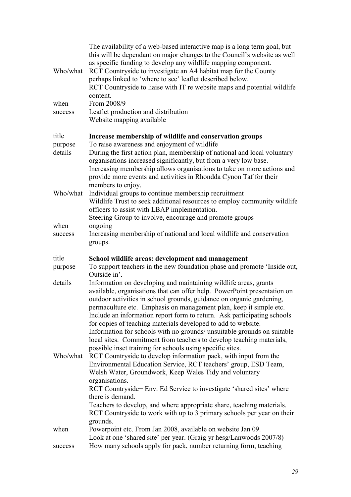| Who/what                    | The availability of a web-based interactive map is a long term goal, but<br>this will be dependant on major changes to the Council's website as well<br>as specific funding to develop any wildlife mapping component.<br>RCT Countryside to investigate an A4 habitat map for the County<br>perhaps linked to 'where to see' leaflet described below.<br>RCT Countryside to liaise with IT re website maps and potential wildlife<br>content.                                                                                                                                                                                                         |
|-----------------------------|--------------------------------------------------------------------------------------------------------------------------------------------------------------------------------------------------------------------------------------------------------------------------------------------------------------------------------------------------------------------------------------------------------------------------------------------------------------------------------------------------------------------------------------------------------------------------------------------------------------------------------------------------------|
| when<br>success             | From 2008/9<br>Leaflet production and distribution<br>Website mapping available                                                                                                                                                                                                                                                                                                                                                                                                                                                                                                                                                                        |
| title<br>purpose<br>details | Increase membership of wildlife and conservation groups<br>To raise awareness and enjoyment of wildlife<br>During the first action plan, membership of national and local voluntary<br>organisations increased significantly, but from a very low base.<br>Increasing membership allows organisations to take on more actions and<br>provide more events and activities in Rhondda Cynon Taf for their<br>members to enjoy.                                                                                                                                                                                                                            |
| Who/what                    | Individual groups to continue membership recruitment<br>Wildlife Trust to seek additional resources to employ community wildlife<br>officers to assist with LBAP implementation.<br>Steering Group to involve, encourage and promote groups                                                                                                                                                                                                                                                                                                                                                                                                            |
| when<br>success             | ongoing<br>Increasing membership of national and local wildlife and conservation<br>groups.                                                                                                                                                                                                                                                                                                                                                                                                                                                                                                                                                            |
| title<br>purpose            | School wildlife areas: development and management<br>To support teachers in the new foundation phase and promote 'Inside out,<br>Outside in'.                                                                                                                                                                                                                                                                                                                                                                                                                                                                                                          |
| details                     | Information on developing and maintaining wildlife areas, grants<br>available, organisations that can offer help. PowerPoint presentation on<br>outdoor activities in school grounds, guidance on organic gardening,<br>permaculture etc. Emphasis on management plan, keep it simple etc.<br>Include an information report form to return. Ask participating schools<br>for copies of teaching materials developed to add to website.<br>Information for schools with no grounds/ unsuitable grounds on suitable<br>local sites. Commitment from teachers to develop teaching materials,<br>possible inset training for schools using specific sites. |
| Who/what                    | RCT Countryside to develop information pack, with input from the<br>Environmental Education Service, RCT teachers' group, ESD Team,<br>Welsh Water, Groundwork, Keep Wales Tidy and voluntary<br>organisations.<br>RCT Countryside+ Env. Ed Service to investigate 'shared sites' where<br>there is demand.<br>Teachers to develop, and where appropriate share, teaching materials.<br>RCT Countryside to work with up to 3 primary schools per year on their<br>grounds.                                                                                                                                                                             |
| when                        | Powerpoint etc. From Jan 2008, available on website Jan 09.<br>Look at one 'shared site' per year. (Graig yr hesg/Lanwoods 2007/8)                                                                                                                                                                                                                                                                                                                                                                                                                                                                                                                     |
| success                     | How many schools apply for pack, number returning form, teaching                                                                                                                                                                                                                                                                                                                                                                                                                                                                                                                                                                                       |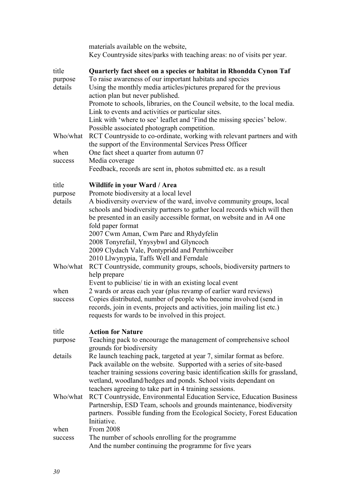|                    | materials available on the website,<br>Key Countryside sites/parks with teaching areas: no of visits per year.                                                                        |
|--------------------|---------------------------------------------------------------------------------------------------------------------------------------------------------------------------------------|
| title<br>purpose   | Quarterly fact sheet on a species or habitat in Rhondda Cynon Taf<br>To raise awareness of our important habitats and species                                                         |
| details            | Using the monthly media articles/pictures prepared for the previous<br>action plan but never published.<br>Promote to schools, libraries, on the Council website, to the local media. |
|                    | Link to events and activities or particular sites.<br>Link with 'where to see' leaflet and 'Find the missing species' below.                                                          |
| Who/what           | Possible associated photograph competition.<br>RCT Countryside to co-ordinate, working with relevant partners and with<br>the support of the Environmental Services Press Officer     |
| when<br>success    | One fact sheet a quarter from autumn 07<br>Media coverage                                                                                                                             |
|                    | Feedback, records are sent in, photos submitted etc. as a result                                                                                                                      |
| title              | Wildlife in your Ward / Area                                                                                                                                                          |
| purpose<br>details | Promote biodiversity at a local level<br>A biodiversity overview of the ward, involve community groups, local                                                                         |
|                    | schools and biodiversity partners to gather local records which will then                                                                                                             |
|                    | be presented in an easily accessible format, on website and in A4 one                                                                                                                 |
|                    | fold paper format<br>2007 Cwm Aman, Cwm Parc and Rhydyfelin                                                                                                                           |
|                    | 2008 Tonyrefail, Ynysybwl and Glyncoch                                                                                                                                                |
|                    | 2009 Clydach Vale, Pontypridd and Penrhiwceiber                                                                                                                                       |
| Who/what           | 2010 Llwynypia, Taffs Well and Ferndale                                                                                                                                               |
|                    | RCT Countryside, community groups, schools, biodiversity partners to<br>help prepare                                                                                                  |
| when               | Event to publicise/ tie in with an existing local event<br>2 wards or areas each year (plus revamp of earlier ward reviews)                                                           |
| success            | Copies distributed, number of people who become involved (send in                                                                                                                     |
|                    | records, join in events, projects and activities, join mailing list etc.)<br>requests for wards to be involved in this project.                                                       |
| title              | <b>Action for Nature</b>                                                                                                                                                              |
| purpose            | Teaching pack to encourage the management of comprehensive school<br>grounds for biodiversity                                                                                         |
| details            | Re launch teaching pack, targeted at year 7, similar format as before.<br>Pack available on the website. Supported with a series of site-based                                        |
|                    | teacher training sessions covering basic identification skills for grassland,<br>wetland, woodland/hedges and ponds. School visits dependant on                                       |
| Who/what           | teachers agreeing to take part in 4 training sessions.<br>RCT Countryside, Environmental Education Service, Education Business                                                        |
|                    | Partnership, ESD Team, schools and grounds maintenance, biodiversity<br>partners. Possible funding from the Ecological Society, Forest Education                                      |
|                    | Initiative.                                                                                                                                                                           |
| when               | From 2008                                                                                                                                                                             |
| success            | The number of schools enrolling for the programme<br>And the number continuing the programme for five years                                                                           |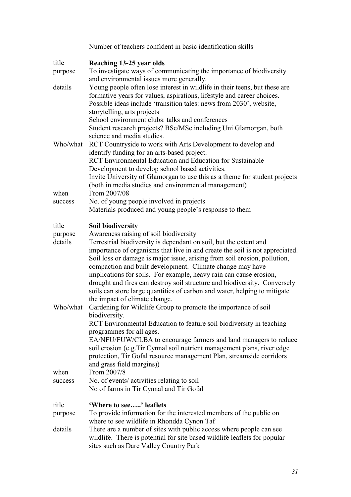|                    | Number of teachers confident in basic identification skills                                                                                                                                                                                                                                                                                                                                                     |
|--------------------|-----------------------------------------------------------------------------------------------------------------------------------------------------------------------------------------------------------------------------------------------------------------------------------------------------------------------------------------------------------------------------------------------------------------|
| title              | Reaching 13-25 year olds                                                                                                                                                                                                                                                                                                                                                                                        |
| purpose            | To investigate ways of communicating the importance of biodiversity<br>and environmental issues more generally.                                                                                                                                                                                                                                                                                                 |
| details            | Young people often lose interest in wildlife in their teens, but these are<br>formative years for values, aspirations, lifestyle and career choices.<br>Possible ideas include 'transition tales: news from 2030', website,<br>storytelling, arts projects<br>School environment clubs: talks and conferences<br>Student research projects? BSc/MSc including Uni Glamorgan, both<br>science and media studies. |
| Who/what           | RCT Countryside to work with Arts Development to develop and<br>identify funding for an arts-based project.<br><b>RCT</b> Environmental Education and Education for Sustainable                                                                                                                                                                                                                                 |
|                    | Development to develop school based activities.                                                                                                                                                                                                                                                                                                                                                                 |
| when               | Invite University of Glamorgan to use this as a theme for student projects<br>(both in media studies and environmental management)<br>From 2007/08                                                                                                                                                                                                                                                              |
| success            | No. of young people involved in projects                                                                                                                                                                                                                                                                                                                                                                        |
|                    | Materials produced and young people's response to them                                                                                                                                                                                                                                                                                                                                                          |
| title              | <b>Soil biodiversity</b>                                                                                                                                                                                                                                                                                                                                                                                        |
| purpose<br>details | Awareness raising of soil biodiversity<br>Terrestrial biodiversity is dependant on soil, but the extent and<br>importance of organisms that live in and create the soil is not appreciated.<br>Soil loss or damage is major issue, arising from soil erosion, pollution,                                                                                                                                        |
| Who/what           | compaction and built development. Climate change may have<br>implications for soils. For example, heavy rain can cause erosion,<br>drought and fires can destroy soil structure and biodiversity. Conversely<br>soils can store large quantities of carbon and water, helping to mitigate<br>the impact of climate change.<br>Gardening for Wildlife Group to promote the importance of soil                    |
|                    | biodiversity.<br>RCT Environmental Education to feature soil biodiversity in teaching<br>programmes for all ages.<br>EA/NFU/FUW/CLBA to encourage farmers and land managers to reduce<br>soil erosion (e.g. Tir Cynnal soil nutrient management plans, river edge                                                                                                                                               |
|                    | protection, Tir Gofal resource management Plan, streamside corridors<br>and grass field margins))<br>From 2007/8                                                                                                                                                                                                                                                                                                |
| when<br>success    | No. of events/ activities relating to soil<br>No of farms in Tir Cynnal and Tir Gofal                                                                                                                                                                                                                                                                                                                           |
|                    |                                                                                                                                                                                                                                                                                                                                                                                                                 |
| title<br>purpose   | 'Where to see' leaflets<br>To provide information for the interested members of the public on<br>where to see wildlife in Rhondda Cynon Taf                                                                                                                                                                                                                                                                     |
| details            | There are a number of sites with public access where people can see<br>wildlife. There is potential for site based wildlife leaflets for popular<br>sites such as Dare Valley Country Park                                                                                                                                                                                                                      |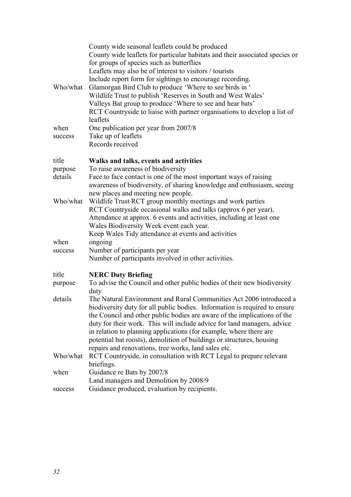|          | County wide seasonal leaflets could be produced<br>County wide leaflets for particular habitats and their associated species or |
|----------|---------------------------------------------------------------------------------------------------------------------------------|
|          | for groups of species such as butterflies                                                                                       |
|          | Leaflets may also be of interest to visitors / tourists                                                                         |
|          | Include report form for sightings to encourage recording.                                                                       |
| Who/what | Glamorgan Bird Club to produce 'Where to see birds in '                                                                         |
|          | Wildlife Trust to publish 'Reserves in South and West Wales'                                                                    |
|          | Valleys Bat group to produce 'Where to see and hear bats'                                                                       |
|          | RCT Countryside to liaise with partner organisations to develop a list of                                                       |
|          | leaflets                                                                                                                        |
| when     | One publication per year from 2007/8                                                                                            |
| success  | Take up of leaflets                                                                                                             |
|          | Records received                                                                                                                |
| title    | Walks and talks, events and activities                                                                                          |
| purpose  | To raise awareness of biodiversity                                                                                              |
| details  | Face to face contact is one of the most important ways of raising                                                               |
|          | awareness of biodiversity, of sharing knowledge and enthusiasm, seeing                                                          |
|          | new places and meeting new people.                                                                                              |
| Who/what | Wildlife Trust RCT group monthly meetings and work parties                                                                      |
|          | RCT Countryside occasional walks and talks (approx 6 per year),                                                                 |
|          | Attendance at approx. 6 events and activities, including at least one                                                           |
|          | Wales Biodiversity Week event each year.                                                                                        |
|          | Keep Wales Tidy attendance at events and activities                                                                             |
| when     | ongoing                                                                                                                         |
| success  | Number of participants per year                                                                                                 |
|          | Number of participants involved in other activities.                                                                            |
| title    | <b>NERC Duty Briefing</b>                                                                                                       |
| purpose  | To advise the Council and other public bodies of their new biodiversity                                                         |
|          | duty                                                                                                                            |
| details  | The Natural Environment and Rural Communities Act 2006 introduced a                                                             |
|          | biodiversity duty for all public bodies. Information is required to ensure                                                      |
|          | the Council and other public bodies are aware of the implications of the                                                        |
|          | duty for their work. This will include advice for land managers, advice                                                         |
|          | in relation to planning applications (for example, where there are                                                              |
|          | potential bat roosts), demolition of buildings or structures, housing                                                           |
|          | repairs and renovations, tree works, land sales etc.                                                                            |
| Who/what | RCT Countryside, in consultation with RCT Legal to prepare relevant<br>briefings.                                               |
| when     | Guidance re Bats by 2007/8                                                                                                      |
|          | Land managers and Demolition by 2008/9                                                                                          |
| success  | Guidance produced, evaluation by recipients.                                                                                    |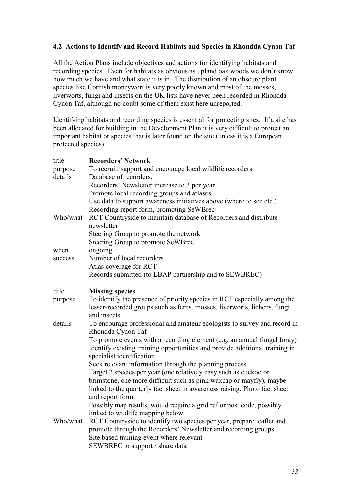# **4.2 Actions to Identify and Record Habitats and Species in Rhondda Cynon Taf**

All the Action Plans include objectives and actions for identifying habitats and recording species. Even for habitats as obvious as upland oak woods we don't know how much we have and what state it is in. The distribution of an obscure plant species like Cornish moneywort is very poorly known and most of the mosses, liverworts, fungi and insects on the UK lists have never been recorded in Rhondda Cynon Taf, although no doubt some of them exist here unreported.

Identifying habitats and recording species is essential for protecting sites. If a site has been allocated for building in the Development Plan it is very difficult to protect an important habitat or species that is later found on the site (unless it is a European protected species).

| title    | <b>Recorders' Network</b>                                                                                                                                                            |
|----------|--------------------------------------------------------------------------------------------------------------------------------------------------------------------------------------|
| purpose  | To recruit, support and encourage local wildlife recorders                                                                                                                           |
| details  | Database of recorders,                                                                                                                                                               |
|          | Recorders' Newsletter increase to 3 per year                                                                                                                                         |
|          | Promote local recording groups and atlases                                                                                                                                           |
|          | Use data to support awareness initiatives above (where to see etc.)                                                                                                                  |
|          | Recording report form, promoting SeWBrec                                                                                                                                             |
| Who/what | RCT Countryside to maintain database of Recorders and distribute                                                                                                                     |
|          | newsletter                                                                                                                                                                           |
|          | Steering Group to promote the network                                                                                                                                                |
|          | Steering Group to promote SeWBrec                                                                                                                                                    |
| when     | ongoing                                                                                                                                                                              |
| success  | Number of local recorders                                                                                                                                                            |
|          | Atlas coverage for RCT                                                                                                                                                               |
|          | Records submitted (to LBAP partnership and to SEWBREC)                                                                                                                               |
| title    | <b>Missing species</b>                                                                                                                                                               |
| purpose  | To identify the presence of priority species in RCT especially among the                                                                                                             |
|          | lesser-recorded groups such as ferns, mosses, liverworts, lichens, fungi<br>and insects.                                                                                             |
| details  | To encourage professional and amateur ecologists to survey and record in<br>Rhondda Cynon Taf                                                                                        |
|          | To promote events with a recording element (e.g. an annual fungal foray)<br>Identify existing training opportunities and provide additional training in<br>specialist identification |
|          | Seek relevant information through the planning process                                                                                                                               |
|          | Target 2 species per year (one relatively easy such as cuckoo or                                                                                                                     |
|          | brimstone, one more difficult such as pink waxcap or mayfly), maybe                                                                                                                  |
|          | linked to the quarterly fact sheet in awareness raising. Photo fact sheet<br>and report form.                                                                                        |
|          | Possibly map results, would require a grid ref or post code, possibly                                                                                                                |
|          | linked to wildlife mapping below.                                                                                                                                                    |
| Who/what | RCT Countryside to identify two species per year, prepare leaflet and                                                                                                                |
|          | promote through the Recorders' Newsletter and recording groups.                                                                                                                      |
|          | Site based training event where relevant                                                                                                                                             |
|          | SEWBREC to support / share data                                                                                                                                                      |
|          |                                                                                                                                                                                      |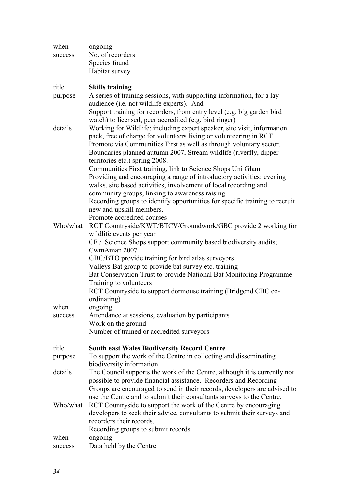| when     | ongoing                                                                                              |
|----------|------------------------------------------------------------------------------------------------------|
| success  | No. of recorders                                                                                     |
|          | Species found                                                                                        |
|          | Habitat survey                                                                                       |
| title    | <b>Skills training</b>                                                                               |
| purpose  | A series of training sessions, with supporting information, for a lay                                |
|          | audience (i.e. not wildlife experts). And                                                            |
|          | Support training for recorders, from entry level (e.g. big garden bird                               |
|          | watch) to licensed, peer accredited (e.g. bird ringer)                                               |
| details  | Working for Wildlife: including expert speaker, site visit, information                              |
|          | pack, free of charge for volunteers living or volunteering in RCT.                                   |
|          | Promote via Communities First as well as through voluntary sector.                                   |
|          | Boundaries planned autumn 2007, Stream wildlife (riverfly, dipper<br>territories etc.) spring 2008.  |
|          | Communities First training, link to Science Shops Uni Glam                                           |
|          | Providing and encouraging a range of introductory activities: evening                                |
|          | walks, site based activities, involvement of local recording and                                     |
|          | community groups, linking to awareness raising.                                                      |
|          | Recording groups to identify opportunities for specific training to recruit                          |
|          | new and upskill members.                                                                             |
|          | Promote accredited courses                                                                           |
| Who/what | RCT Countryside/KWT/BTCV/Groundwork/GBC provide 2 working for                                        |
|          | wildlife events per year                                                                             |
|          | CF / Science Shops support community based biodiversity audits;                                      |
|          | CwmAman 2007                                                                                         |
|          | GBC/BTO provide training for bird atlas surveyors                                                    |
|          | Valleys Bat group to provide bat survey etc. training                                                |
|          | Bat Conservation Trust to provide National Bat Monitoring Programme                                  |
|          | Training to volunteers<br>RCT Countryside to support dormouse training (Bridgend CBC co-             |
|          | ordinating)                                                                                          |
| when     | ongoing                                                                                              |
| success  | Attendance at sessions, evaluation by participants                                                   |
|          | Work on the ground                                                                                   |
|          | Number of trained or accredited surveyors                                                            |
| title    | <b>South east Wales Biodiversity Record Centre</b>                                                   |
| purpose  | To support the work of the Centre in collecting and disseminating                                    |
|          | biodiversity information.                                                                            |
| details  | The Council supports the work of the Centre, although it is currently not                            |
|          | possible to provide financial assistance. Recorders and Recording                                    |
|          | Groups are encouraged to send in their records, developers are advised to                            |
|          | use the Centre and to submit their consultants surveys to the Centre.                                |
| Who/what | RCT Countryside to support the work of the Centre by encouraging                                     |
|          | developers to seek their advice, consultants to submit their surveys and<br>recorders their records. |
|          | Recording groups to submit records                                                                   |
| when     | ongoing                                                                                              |
| success  | Data held by the Centre                                                                              |
|          |                                                                                                      |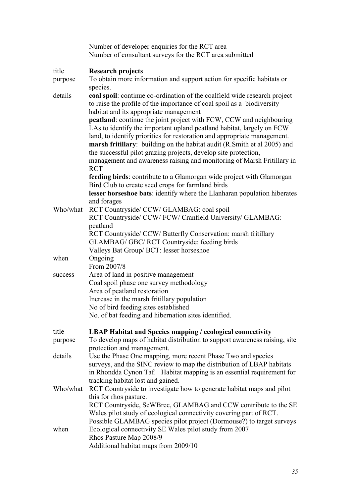|          | Number of developer enquiries for the RCT area<br>Number of consultant surveys for the RCT area submitted                                                                                                                                                                                                                                                                                                                                                       |
|----------|-----------------------------------------------------------------------------------------------------------------------------------------------------------------------------------------------------------------------------------------------------------------------------------------------------------------------------------------------------------------------------------------------------------------------------------------------------------------|
| title    | <b>Research projects</b>                                                                                                                                                                                                                                                                                                                                                                                                                                        |
| purpose  | To obtain more information and support action for specific habitats or<br>species.                                                                                                                                                                                                                                                                                                                                                                              |
| details  | coal spoil: continue co-ordination of the coalfield wide research project<br>to raise the profile of the importance of coal spoil as a biodiversity<br>habitat and its appropriate management                                                                                                                                                                                                                                                                   |
|          | peatland: continue the joint project with FCW, CCW and neighbouring<br>LAs to identify the important upland peatland habitat, largely on FCW<br>land, to identify priorities for restoration and appropriate management.<br>marsh fritillary: building on the habitat audit (R.Smith et al 2005) and<br>the successful pilot grazing projects, develop site protection,<br>management and awareness raising and monitoring of Marsh Fritillary in<br><b>RCT</b> |
|          | feeding birds: contribute to a Glamorgan wide project with Glamorgan<br>Bird Club to create seed crops for farmland birds<br>lesser horseshoe bats: identify where the Llanharan population hiberates                                                                                                                                                                                                                                                           |
| Who/what | and forages<br>RCT Countryside/ CCW/ GLAMBAG: coal spoil                                                                                                                                                                                                                                                                                                                                                                                                        |
|          | RCT Countryside/ CCW/ FCW/ Cranfield University/ GLAMBAG:<br>peatland                                                                                                                                                                                                                                                                                                                                                                                           |
|          | RCT Countryside/ CCW/ Butterfly Conservation: marsh fritillary<br>GLAMBAG/ GBC/ RCT Countryside: feeding birds                                                                                                                                                                                                                                                                                                                                                  |
| when     | Valleys Bat Group/ BCT: lesser horseshoe<br>Ongoing                                                                                                                                                                                                                                                                                                                                                                                                             |
|          | From 2007/8                                                                                                                                                                                                                                                                                                                                                                                                                                                     |
| success  | Area of land in positive management                                                                                                                                                                                                                                                                                                                                                                                                                             |
|          | Coal spoil phase one survey methodology                                                                                                                                                                                                                                                                                                                                                                                                                         |
|          | Area of peatland restoration                                                                                                                                                                                                                                                                                                                                                                                                                                    |
|          | Increase in the marsh fritillary population                                                                                                                                                                                                                                                                                                                                                                                                                     |
|          | No of bird feeding sites established<br>No. of bat feeding and hibernation sites identified.                                                                                                                                                                                                                                                                                                                                                                    |
| title    | <b>LBAP Habitat and Species mapping / ecological connectivity</b>                                                                                                                                                                                                                                                                                                                                                                                               |
| purpose  | To develop maps of habitat distribution to support awareness raising, site<br>protection and management.                                                                                                                                                                                                                                                                                                                                                        |
| details  | Use the Phase One mapping, more recent Phase Two and species<br>surveys, and the SINC review to map the distribution of LBAP habitats                                                                                                                                                                                                                                                                                                                           |
|          | in Rhondda Cynon Taf. Habitat mapping is an essential requirement for<br>tracking habitat lost and gained.                                                                                                                                                                                                                                                                                                                                                      |
| Who/what | RCT Countryside to investigate how to generate habitat maps and pilot                                                                                                                                                                                                                                                                                                                                                                                           |
|          | this for rhos pasture.                                                                                                                                                                                                                                                                                                                                                                                                                                          |
|          | RCT Countryside, SeWBrec, GLAMBAG and CCW contribute to the SE                                                                                                                                                                                                                                                                                                                                                                                                  |
|          | Wales pilot study of ecological connectivity covering part of RCT.                                                                                                                                                                                                                                                                                                                                                                                              |
| when     | Possible GLAMBAG species pilot project (Dormouse?) to target surveys<br>Ecological connectivity SE Wales pilot study from 2007                                                                                                                                                                                                                                                                                                                                  |
|          | Rhos Pasture Map 2008/9<br>Additional habitat maps from 2009/10                                                                                                                                                                                                                                                                                                                                                                                                 |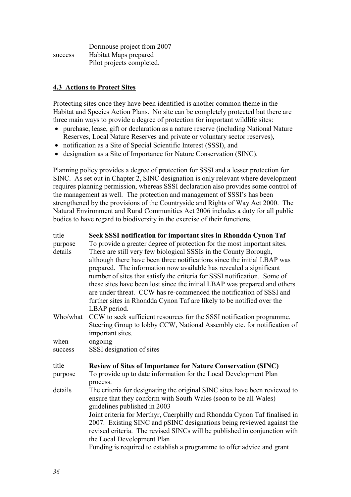|         | Dormouse project from 2007 |
|---------|----------------------------|
| success | Habitat Maps prepared      |
|         | Pilot projects completed.  |

## **4.3 Actions to Protect Sites**

Protecting sites once they have been identified is another common theme in the Habitat and Species Action Plans. No site can be completely protected but there are three main ways to provide a degree of protection for important wildlife sites:

- purchase, lease, gift or declaration as a nature reserve (including National Nature Reserves, Local Nature Reserves and private or voluntary sector reserves),
- notification as a Site of Special Scientific Interest (SSSI), and
- designation as a Site of Importance for Nature Conservation (SINC).

Planning policy provides a degree of protection for SSSI and a lesser protection for SINC. As set out in Chapter 2, SINC designation is only relevant where development requires planning permission, whereas SSSI declaration also provides some control of the management as well. The protection and management of SSSI's has been strengthened by the provisions of the Countryside and Rights of Way Act 2000. The Natural Environment and Rural Communities Act 2006 includes a duty for all public bodies to have regard to biodiversity in the exercise of their functions.

| title    | Seek SSSI notification for important sites in Rhondda Cynon Taf                                                                                                                                                                                               |
|----------|---------------------------------------------------------------------------------------------------------------------------------------------------------------------------------------------------------------------------------------------------------------|
| purpose  | To provide a greater degree of protection for the most important sites.                                                                                                                                                                                       |
| details  | There are still very few biological SSSIs in the County Borough,                                                                                                                                                                                              |
|          | although there have been three notifications since the initial LBAP was                                                                                                                                                                                       |
|          | prepared. The information now available has revealed a significant                                                                                                                                                                                            |
|          | number of sites that satisfy the criteria for SSSI notification. Some of                                                                                                                                                                                      |
|          | these sites have been lost since the initial LBAP was prepared and others<br>are under threat. CCW has re-commenced the notification of SSSI and                                                                                                              |
|          | further sites in Rhondda Cynon Taf are likely to be notified over the                                                                                                                                                                                         |
|          | LBAP period.                                                                                                                                                                                                                                                  |
| Who/what | CCW to seek sufficient resources for the SSSI notification programme.                                                                                                                                                                                         |
|          | Steering Group to lobby CCW, National Assembly etc. for notification of                                                                                                                                                                                       |
|          | important sites.                                                                                                                                                                                                                                              |
| when     | ongoing                                                                                                                                                                                                                                                       |
| success  | SSSI designation of sites                                                                                                                                                                                                                                     |
| title    | <b>Review of Sites of Importance for Nature Conservation (SINC)</b>                                                                                                                                                                                           |
| purpose  | To provide up to date information for the Local Development Plan                                                                                                                                                                                              |
|          | process.                                                                                                                                                                                                                                                      |
| details  | The criteria for designating the original SINC sites have been reviewed to<br>ensure that they conform with South Wales (soon to be all Wales)<br>guidelines published in 2003                                                                                |
|          | Joint criteria for Merthyr, Caerphilly and Rhondda Cynon Taf finalised in<br>2007. Existing SINC and pSINC designations being reviewed against the<br>revised criteria. The revised SINCs will be published in conjunction with<br>the Local Development Plan |
|          | Funding is required to establish a programme to offer advice and grant                                                                                                                                                                                        |
|          |                                                                                                                                                                                                                                                               |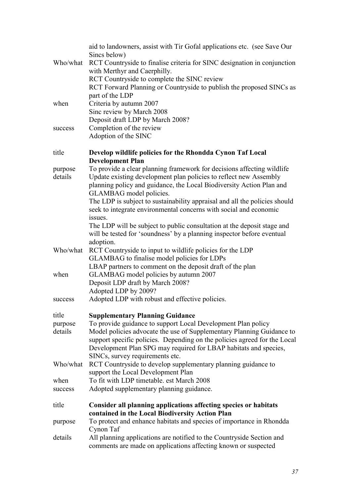|          | aid to landowners, assist with Tir Gofal applications etc. (see Save Our<br>Sincs below)                                                                             |
|----------|----------------------------------------------------------------------------------------------------------------------------------------------------------------------|
| Who/what | RCT Countryside to finalise criteria for SINC designation in conjunction<br>with Merthyr and Caerphilly.                                                             |
|          | RCT Countryside to complete the SINC review<br>RCT Forward Planning or Countryside to publish the proposed SINCs as                                                  |
|          | part of the LDP                                                                                                                                                      |
| when     | Criteria by autumn 2007<br>Sinc review by March 2008                                                                                                                 |
|          | Deposit draft LDP by March 2008?                                                                                                                                     |
| success  | Completion of the review<br>Adoption of the SINC                                                                                                                     |
| title    | Develop wildlife policies for the Rhondda Cynon Taf Local<br><b>Development Plan</b>                                                                                 |
| purpose  | To provide a clear planning framework for decisions affecting wildlife                                                                                               |
| details  | Update existing development plan policies to reflect new Assembly<br>planning policy and guidance, the Local Biodiversity Action Plan and<br>GLAMBAG model policies. |
|          | The LDP is subject to sustainability appraisal and all the policies should<br>seek to integrate environmental concerns with social and economic                      |
|          | issues.                                                                                                                                                              |
|          | The LDP will be subject to public consultation at the deposit stage and<br>will be tested for 'soundness' by a planning inspector before eventual<br>adoption.       |
| Who/what | RCT Countryside to input to wildlife policies for the LDP                                                                                                            |
|          | GLAMBAG to finalise model policies for LDPs<br>LBAP partners to comment on the deposit draft of the plan                                                             |
| when     | GLAMBAG model policies by autumn 2007                                                                                                                                |
|          | Deposit LDP draft by March 2008?                                                                                                                                     |
|          | Adopted LDP by 2009?                                                                                                                                                 |
| success  | Adopted LDP with robust and effective policies.                                                                                                                      |
| title    | <b>Supplementary Planning Guidance</b>                                                                                                                               |
| purpose  | To provide guidance to support Local Development Plan policy                                                                                                         |
| details  | Model policies advocate the use of Supplementary Planning Guidance to<br>support specific policies. Depending on the policies agreed for the Local                   |
|          | Development Plan SPG may required for LBAP habitats and species,                                                                                                     |
|          | SINCs, survey requirements etc.                                                                                                                                      |
| Who/what | RCT Countryside to develop supplementary planning guidance to<br>support the Local Development Plan                                                                  |
| when     | To fit with LDP timetable. est March 2008                                                                                                                            |
| success  | Adopted supplementary planning guidance.                                                                                                                             |
| title    | <b>Consider all planning applications affecting species or habitats</b>                                                                                              |
| purpose  | contained in the Local Biodiversity Action Plan<br>To protect and enhance habitats and species of importance in Rhondda                                              |
|          | Cynon Taf                                                                                                                                                            |
| details  | All planning applications are notified to the Countryside Section and<br>comments are made on applications affecting known or suspected                              |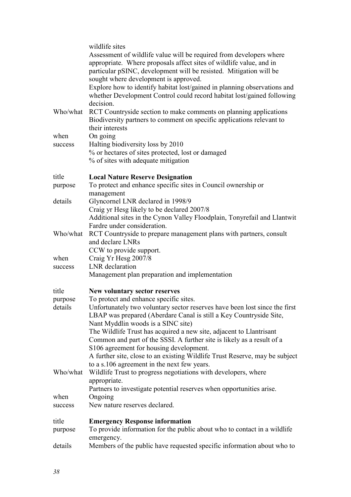|          | wildlife sites                                                                                                                                                                                                                                            |
|----------|-----------------------------------------------------------------------------------------------------------------------------------------------------------------------------------------------------------------------------------------------------------|
|          | Assessment of wildlife value will be required from developers where<br>appropriate. Where proposals affect sites of wildlife value, and in<br>particular pSINC, development will be resisted. Mitigation will be<br>sought where development is approved. |
|          | Explore how to identify habitat lost/gained in planning observations and<br>whether Development Control could record habitat lost/gained following<br>decision.                                                                                           |
| Who/what | RCT Countryside section to make comments on planning applications<br>Biodiversity partners to comment on specific applications relevant to<br>their interests                                                                                             |
| when     | On going                                                                                                                                                                                                                                                  |
| success  | Halting biodiversity loss by 2010                                                                                                                                                                                                                         |
|          | % or hectares of sites protected, lost or damaged<br>% of sites with adequate mitigation                                                                                                                                                                  |
| title    | <b>Local Nature Reserve Designation</b>                                                                                                                                                                                                                   |
| purpose  | To protect and enhance specific sites in Council ownership or<br>management                                                                                                                                                                               |
| details  | Glyncornel LNR declared in 1998/9                                                                                                                                                                                                                         |
|          | Craig yr Hesg likely to be declared 2007/8                                                                                                                                                                                                                |
|          | Additional sites in the Cynon Valley Floodplain, Tonyrefail and Llantwit<br>Fardre under consideration.                                                                                                                                                   |
| Who/what | RCT Countryside to prepare management plans with partners, consult                                                                                                                                                                                        |
|          | and declare LNRs                                                                                                                                                                                                                                          |
|          | CCW to provide support.                                                                                                                                                                                                                                   |
| when     | Craig Yr Hesg 2007/8                                                                                                                                                                                                                                      |
| success  | LNR declaration                                                                                                                                                                                                                                           |
|          | Management plan preparation and implementation                                                                                                                                                                                                            |
| title    | New voluntary sector reserves                                                                                                                                                                                                                             |
| purpose  | To protect and enhance specific sites.                                                                                                                                                                                                                    |
| details  | Unfortunately two voluntary sector reserves have been lost since the first<br>LBAP was prepared (Aberdare Canal is still a Key Countryside Site,<br>Nant Myddlin woods is a SINC site)                                                                    |
|          | The Wildlife Trust has acquired a new site, adjacent to Llantrisant                                                                                                                                                                                       |
|          | Common and part of the SSSI. A further site is likely as a result of a                                                                                                                                                                                    |
|          | S106 agreement for housing development.                                                                                                                                                                                                                   |
|          | A further site, close to an existing Wildlife Trust Reserve, may be subject                                                                                                                                                                               |
| Who/what | to a s.106 agreement in the next few years.<br>Wildlife Trust to progress negotiations with developers, where                                                                                                                                             |
|          | appropriate.                                                                                                                                                                                                                                              |
|          | Partners to investigate potential reserves when opportunities arise.                                                                                                                                                                                      |
| when     | Ongoing                                                                                                                                                                                                                                                   |
| success  | New nature reserves declared.                                                                                                                                                                                                                             |
| title    | <b>Emergency Response information</b>                                                                                                                                                                                                                     |
| purpose  | To provide information for the public about who to contact in a wildlife<br>emergency.                                                                                                                                                                    |
| details  | Members of the public have requested specific information about who to                                                                                                                                                                                    |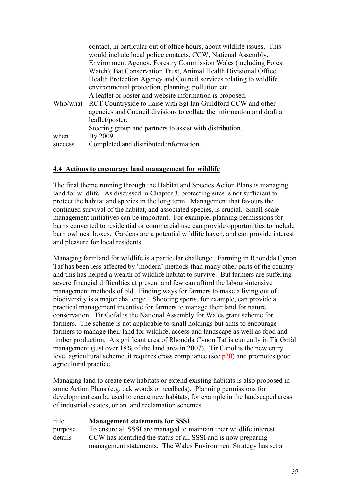|         | contact, in particular out of office hours, about wildlife issues. This |
|---------|-------------------------------------------------------------------------|
|         | would include local police contacts, CCW, National Assembly,            |
|         | Environment Agency, Forestry Commission Wales (including Forest         |
|         | Watch), Bat Conservation Trust, Animal Health Divisional Office,        |
|         | Health Protection Agency and Council services relating to wildlife,     |
|         | environmental protection, planning, pollution etc.                      |
|         | A leaflet or poster and website information is proposed.                |
|         | Who/what RCT Countryside to liaise with Sgt Ian Guildford CCW and other |
|         | agencies and Council divisions to collate the information and draft a   |
|         | leaflet/poster.                                                         |
|         | Steering group and partners to assist with distribution.                |
| when    | By 2009                                                                 |
| success | Completed and distributed information.                                  |

## **4.4 Actions to encourage land management for wildlife**

The final theme running through the Habitat and Species Action Plans is managing land for wildlife. As discussed in Chapter 3, protecting sites is not sufficient to protect the habitat and species in the long term. Management that favours the continued survival of the habitat, and associated species, is crucial. Small-scale management initiatives can be important. For example, planning permissions for barns converted to residential or commercial use can provide opportunities to include barn owl nest boxes. Gardens are a potential wildlife haven, and can provide interest and pleasure for local residents.

Managing farmland for wildlife is a particular challenge. Farming in Rhondda Cynon Taf has been less affected by 'modern' methods than many other parts of the country and this has helped a wealth of wildlife habitat to survive. But farmers are suffering severe financial difficulties at present and few can afford the labour-intensive management methods of old. Finding ways for farmers to make a living out of biodiversity is a major challenge. Shooting sports, for example, can provide a practical management incentive for farmers to manage their land for nature conservation. Tir Gofal is the National Assembly for Wales grant scheme for farmers. The scheme is not applicable to small holdings but aims to encourage farmers to manage their land for wildlife, access and landscape as well as food and timber production. A significant area of Rhondda Cynon Taf is currently in Tir Gofal management (just over 18% of the land area in 2007). Tir Canol is the new entry level agricultural scheme, it requires cross compliance (see p20) and promotes good agricultural practice.

Managing land to create new habitats or extend existing habitats is also proposed in some Action Plans (e.g. oak woods or reedbeds). Planning permissions for development can be used to create new habitats, for example in the landscaped areas of industrial estates, or on land reclamation schemes.

| title   | <b>Management statements for SSSI</b>                              |
|---------|--------------------------------------------------------------------|
| purpose | To ensure all SSSI are managed to maintain their wildlife interest |
| details | CCW has identified the status of all SSSI and is now preparing     |
|         | management statements. The Wales Environment Strategy has set a    |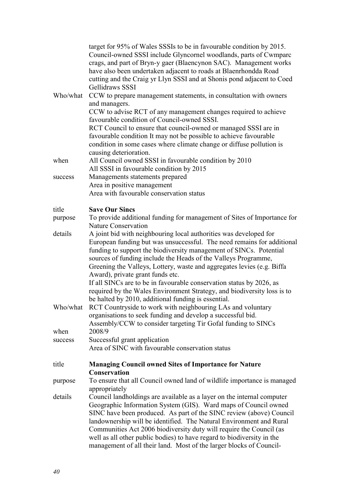|          | target for 95% of Wales SSSIs to be in favourable condition by 2015.<br>Council-owned SSSI include Glyncornel woodlands, parts of Cwmparc<br>crags, and part of Bryn-y gaer (Blaencynon SAC). Management works<br>have also been undertaken adjacent to roads at Blaenrhondda Road<br>cutting and the Craig yr Llyn SSSI and at Shonis pond adjacent to Coed<br>Gellidraws SSSI                                                                                                                                 |
|----------|-----------------------------------------------------------------------------------------------------------------------------------------------------------------------------------------------------------------------------------------------------------------------------------------------------------------------------------------------------------------------------------------------------------------------------------------------------------------------------------------------------------------|
| Who/what | CCW to prepare management statements, in consultation with owners<br>and managers.<br>CCW to advise RCT of any management changes required to achieve                                                                                                                                                                                                                                                                                                                                                           |
|          | favourable condition of Council-owned SSSI.                                                                                                                                                                                                                                                                                                                                                                                                                                                                     |
|          | RCT Council to ensure that council-owned or managed SSSI are in<br>favourable condition It may not be possible to achieve favourable<br>condition in some cases where climate change or diffuse pollution is<br>causing deterioration.                                                                                                                                                                                                                                                                          |
| when     | All Council owned SSSI in favourable condition by 2010                                                                                                                                                                                                                                                                                                                                                                                                                                                          |
| success  | All SSSI in favourable condition by 2015<br>Managements statements prepared                                                                                                                                                                                                                                                                                                                                                                                                                                     |
|          | Area in positive management                                                                                                                                                                                                                                                                                                                                                                                                                                                                                     |
|          | Area with favourable conservation status                                                                                                                                                                                                                                                                                                                                                                                                                                                                        |
| title    | <b>Save Our Sincs</b>                                                                                                                                                                                                                                                                                                                                                                                                                                                                                           |
| purpose  | To provide additional funding for management of Sites of Importance for<br><b>Nature Conservation</b>                                                                                                                                                                                                                                                                                                                                                                                                           |
| details  | A joint bid with neighbouring local authorities was developed for<br>European funding but was unsuccessful. The need remains for additional<br>funding to support the biodiversity management of SINCs. Potential<br>sources of funding include the Heads of the Valleys Programme,<br>Greening the Valleys, Lottery, waste and aggregates levies (e.g. Biffa<br>Award), private grant funds etc.                                                                                                               |
|          | If all SINCs are to be in favourable conservation status by 2026, as<br>required by the Wales Environment Strategy, and biodiversity loss is to<br>be halted by 2010, additional funding is essential.                                                                                                                                                                                                                                                                                                          |
| Who/what | RCT Countryside to work with neighbouring LAs and voluntary<br>organisations to seek funding and develop a successful bid.<br>Assembly/CCW to consider targeting Tir Gofal funding to SINCs                                                                                                                                                                                                                                                                                                                     |
| when     | 2008/9                                                                                                                                                                                                                                                                                                                                                                                                                                                                                                          |
| success  | Successful grant application<br>Area of SINC with favourable conservation status                                                                                                                                                                                                                                                                                                                                                                                                                                |
| title    | <b>Managing Council owned Sites of Importance for Nature</b><br><b>Conservation</b>                                                                                                                                                                                                                                                                                                                                                                                                                             |
| purpose  | To ensure that all Council owned land of wildlife importance is managed<br>appropriately                                                                                                                                                                                                                                                                                                                                                                                                                        |
| details  | Council landholdings are available as a layer on the internal computer<br>Geographic Information System (GIS). Ward maps of Council owned<br>SINC have been produced. As part of the SINC review (above) Council<br>landownership will be identified. The Natural Environment and Rural<br>Communities Act 2006 biodiversity duty will require the Council (as<br>well as all other public bodies) to have regard to biodiversity in the<br>management of all their land. Most of the larger blocks of Council- |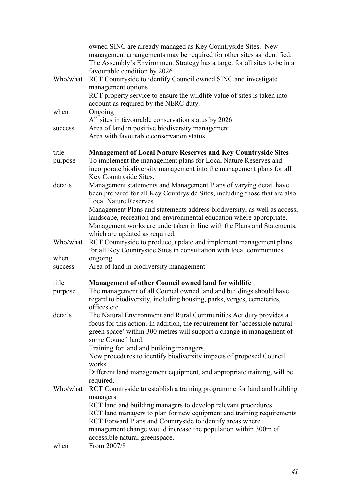|                  | owned SINC are already managed as Key Countryside Sites. New<br>management arrangements may be required for other sites as identified.<br>The Assembly's Environment Strategy has a target for all sites to be in a<br>favourable condition by 2026                                                     |
|------------------|---------------------------------------------------------------------------------------------------------------------------------------------------------------------------------------------------------------------------------------------------------------------------------------------------------|
| Who/what         | RCT Countryside to identify Council owned SINC and investigate<br>management options<br>RCT property service to ensure the wildlife value of sites is taken into<br>account as required by the NERC duty.                                                                                               |
| when             | Ongoing<br>All sites in favourable conservation status by 2026                                                                                                                                                                                                                                          |
| success          | Area of land in positive biodiversity management<br>Area with favourable conservation status                                                                                                                                                                                                            |
| title<br>purpose | <b>Management of Local Nature Reserves and Key Countryside Sites</b><br>To implement the management plans for Local Nature Reserves and<br>incorporate biodiversity management into the management plans for all<br>Key Countryside Sites.                                                              |
| details          | Management statements and Management Plans of varying detail have<br>been prepared for all Key Countryside Sites, including those that are also<br><b>Local Nature Reserves.</b>                                                                                                                        |
|                  | Management Plans and statements address biodiversity, as well as access,<br>landscape, recreation and environmental education where appropriate.<br>Management works are undertaken in line with the Plans and Statements,<br>which are updated as required.                                            |
| Who/what         | RCT Countryside to produce, update and implement management plans<br>for all Key Countryside Sites in consultation with local communities.                                                                                                                                                              |
| when             | ongoing                                                                                                                                                                                                                                                                                                 |
| success          | Area of land in biodiversity management                                                                                                                                                                                                                                                                 |
| title<br>purpose | <b>Management of other Council owned land for wildlife</b><br>The management of all Council owned land and buildings should have<br>regard to biodiversity, including housing, parks, verges, cemeteries,<br>offices etc                                                                                |
| details          | The Natural Environment and Rural Communities Act duty provides a<br>focus for this action. In addition, the requirement for 'accessible natural<br>green space' within 300 metres will support a change in management of<br>some Council land.                                                         |
|                  | Training for land and building managers.<br>New procedures to identify biodiversity impacts of proposed Council<br>works                                                                                                                                                                                |
|                  | Different land management equipment, and appropriate training, will be<br>required.                                                                                                                                                                                                                     |
| Who/what         | RCT Countryside to establish a training programme for land and building<br>managers                                                                                                                                                                                                                     |
|                  | RCT land and building managers to develop relevant procedures<br>RCT land managers to plan for new equipment and training requirements<br>RCT Forward Plans and Countryside to identify areas where<br>management change would increase the population within 300m of<br>accessible natural greenspace. |
| when             | From 2007/8                                                                                                                                                                                                                                                                                             |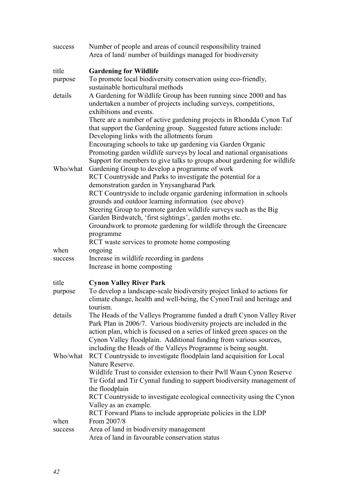| success  | Number of people and areas of council responsibility trained<br>Area of land/ number of buildings managed for biodiversity                                                                                                |
|----------|---------------------------------------------------------------------------------------------------------------------------------------------------------------------------------------------------------------------------|
| title    | <b>Gardening for Wildlife</b>                                                                                                                                                                                             |
| purpose  | To promote local biodiversity conservation using eco-friendly,<br>sustainable horticultural methods                                                                                                                       |
| details  | A Gardening for Wildlife Group has been running since 2000 and has<br>undertaken a number of projects including surveys, competitions,<br>exhibitions and events.                                                         |
|          | There are a number of active gardening projects in Rhondda Cynon Taf<br>that support the Gardening group. Suggested future actions include:<br>Developing links with the allotments forum                                 |
|          | Encouraging schools to take up gardening via Garden Organic<br>Promoting garden wildlife surveys by local and national organisations<br>Support for members to give talks to groups about gardening for wildlife          |
| Who/what | Gardening Group to develop a programme of work<br>RCT Countryside and Parks to investigate the potential for a                                                                                                            |
|          | demonstration garden in Ynysangharad Park<br>RCT Countryside to include organic gardening information in schools<br>grounds and outdoor learning information (see above)                                                  |
|          | Steering Group to promote garden wildlife surveys such as the Big                                                                                                                                                         |
|          | Garden Birdwatch, 'first sightings', garden moths etc.<br>Groundwork to promote gardening for wildlife through the Greencare                                                                                              |
|          | programme<br>RCT waste services to promote home composting                                                                                                                                                                |
| when     | ongoing                                                                                                                                                                                                                   |
| success  | Increase in wildlife recording in gardens                                                                                                                                                                                 |
|          | Increase in home composting                                                                                                                                                                                               |
| title    | <b>Cynon Valley River Park</b>                                                                                                                                                                                            |
| purpose  | To develop a landscape-scale biodiversity project linked to actions for<br>climate change, health and well-being, the CynonTrail and heritage and<br>tourism                                                              |
| details  | The Heads of the Valleys Programme funded a draft Cynon Valley River<br>Park Plan in 2006/7. Various biodiversity projects are included in the<br>action plan, which is focused on a series of linked green spaces on the |
|          | Cynon Valley floodplain. Additional funding from various sources,<br>including the Heads of the Valleys Programme is being sought.                                                                                        |
| Who/what | RCT Countryside to investigate floodplain land acquisition for Local                                                                                                                                                      |
|          | Nature Reserve.<br>Wildlife Trust to consider extension to their Pwll Waun Cynon Reserve                                                                                                                                  |
|          | Tir Gofal and Tir Cynnal funding to support biodiversity management of<br>the floodplain                                                                                                                                  |
|          | RCT Countryside to investigate ecological connectivity using the Cynon                                                                                                                                                    |
|          | Valley as an example.                                                                                                                                                                                                     |
| when     | RCT Forward Plans to include appropriate policies in the LDP<br>From 2007/8                                                                                                                                               |
| success  | Area of land in biodiversity management                                                                                                                                                                                   |
|          | Area of land in favourable conservation status                                                                                                                                                                            |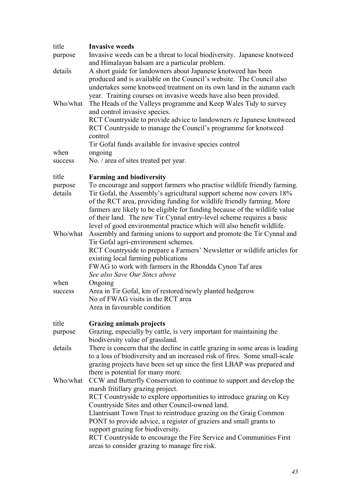| title              | <b>Invasive weeds</b>                                                                                                                                                                                                                                                                                                                                                                                                                                        |
|--------------------|--------------------------------------------------------------------------------------------------------------------------------------------------------------------------------------------------------------------------------------------------------------------------------------------------------------------------------------------------------------------------------------------------------------------------------------------------------------|
| purpose            | Invasive weeds can be a threat to local biodiversity. Japanese knotweed<br>and Himalayan balsam are a particular problem.                                                                                                                                                                                                                                                                                                                                    |
| details            | A short guide for landowners about Japanese knotweed has been<br>produced and is available on the Council's website. The Council also<br>undertakes some knotweed treatment on its own land in the autumn each<br>year. Training courses on invasive weeds have also been provided.                                                                                                                                                                          |
| Who/what           | The Heads of the Valleys programme and Keep Wales Tidy to survey<br>and control invasive species.<br>RCT Countryside to provide advice to landowners re Japanese knotweed<br>RCT Countryside to manage the Council's programme for knotweed<br>control                                                                                                                                                                                                       |
|                    | Tir Gofal funds available for invasive species control                                                                                                                                                                                                                                                                                                                                                                                                       |
| when               | ongoing                                                                                                                                                                                                                                                                                                                                                                                                                                                      |
| success            | No. / area of sites treated per year.                                                                                                                                                                                                                                                                                                                                                                                                                        |
| title              | <b>Farming and biodiversity</b>                                                                                                                                                                                                                                                                                                                                                                                                                              |
| purpose<br>details | To encourage and support farmers who practise wildlife friendly farming.<br>Tir Gofal, the Assembly's agricultural support scheme now covers 18%<br>of the RCT area, providing funding for wildlife friendly farming. More<br>farmers are likely to be eligible for funding because of the wildlife value<br>of their land. The new Tir Cynnal entry-level scheme requires a basic<br>level of good environmental practice which will also benefit wildlife. |
| Who/what           | Assembly and farming unions to support and promote the Tir Cynnal and<br>Tir Gofal agri-environment schemes.<br>RCT Countryside to prepare a Farmers' Newsletter or wildlife articles for<br>existing local farming publications<br>FWAG to work with farmers in the Rhondda Cynon Taf area<br>See also Save Our Sincs above                                                                                                                                 |
| when               | Ongoing                                                                                                                                                                                                                                                                                                                                                                                                                                                      |
| success            | Area in Tir Gofal, km of restored/newly planted hedgerow<br>No of FWAG visits in the RCT area<br>Area in favourable condition                                                                                                                                                                                                                                                                                                                                |
| title              | <b>Grazing animals projects</b>                                                                                                                                                                                                                                                                                                                                                                                                                              |
| purpose            | Grazing, especially by cattle, is very important for maintaining the<br>biodiversity value of grassland.                                                                                                                                                                                                                                                                                                                                                     |
| details            | There is concern that the decline in cattle grazing in some areas is leading<br>to a loss of biodiversity and an increased risk of fires. Some small-scale<br>grazing projects have been set up since the first LBAP was prepared and<br>there is potential for many more.                                                                                                                                                                                   |
| Who/what           | CCW and Butterfly Conservation to continue to support and develop the<br>marsh fritillary grazing project.<br>RCT Countryside to explore opportunities to introduce grazing on Key                                                                                                                                                                                                                                                                           |
|                    | Countryside Sites and other Council-owned land.<br>Llantrisant Town Trust to reintroduce grazing on the Graig Common<br>PONT to provide advice, a register of graziers and small grants to                                                                                                                                                                                                                                                                   |
|                    | support grazing for biodiversity.<br>RCT Countryside to encourage the Fire Service and Communities First<br>areas to consider grazing to manage fire risk.                                                                                                                                                                                                                                                                                                   |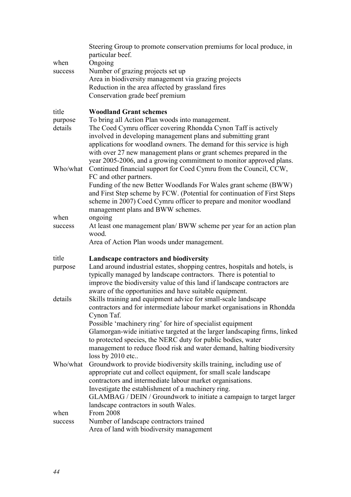|          | Steering Group to promote conservation premiums for local produce, in<br>particular beef.                                                     |
|----------|-----------------------------------------------------------------------------------------------------------------------------------------------|
| when     | Ongoing                                                                                                                                       |
| success  | Number of grazing projects set up                                                                                                             |
|          | Area in biodiversity management via grazing projects                                                                                          |
|          | Reduction in the area affected by grassland fires                                                                                             |
|          | Conservation grade beef premium                                                                                                               |
| title    | <b>Woodland Grant schemes</b>                                                                                                                 |
| purpose  | To bring all Action Plan woods into management.                                                                                               |
| details  | The Coed Cymru officer covering Rhondda Cynon Taff is actively<br>involved in developing management plans and submitting grant                |
|          | applications for woodland owners. The demand for this service is high                                                                         |
|          | with over 27 new management plans or grant schemes prepared in the                                                                            |
| Who/what | year 2005-2006, and a growing commitment to monitor approved plans.<br>Continued financial support for Coed Cymru from the Council, CCW,      |
|          | FC and other partners.                                                                                                                        |
|          | Funding of the new Better Woodlands For Wales grant scheme (BWW)<br>and First Step scheme by FCW. (Potential for continuation of First Steps  |
|          | scheme in 2007) Coed Cymru officer to prepare and monitor woodland<br>management plans and BWW schemes.                                       |
| when     | ongoing                                                                                                                                       |
| success  | At least one management plan/BWW scheme per year for an action plan<br>wood.                                                                  |
|          | Area of Action Plan woods under management.                                                                                                   |
| title    | Landscape contractors and biodiversity                                                                                                        |
| purpose  | Land around industrial estates, shopping centres, hospitals and hotels, is                                                                    |
|          | typically managed by landscape contractors. There is potential to<br>improve the biodiversity value of this land if landscape contractors are |
|          | aware of the opportunities and have suitable equipment.                                                                                       |
| details  | Skills training and equipment advice for small-scale landscape                                                                                |
|          | contractors and for intermediate labour market organisations in Rhondda<br>Cynon Taf.                                                         |
|          | Possible 'machinery ring' for hire of specialist equipment                                                                                    |
|          | Glamorgan-wide initiative targeted at the larger landscaping firms, linked<br>to protected species, the NERC duty for public bodies, water    |
|          | management to reduce flood risk and water demand, halting biodiversity                                                                        |
| Who/what | loss by 2010 etc                                                                                                                              |
|          | Groundwork to provide biodiversity skills training, including use of<br>appropriate cut and collect equipment, for small scale landscape      |
|          | contractors and intermediate labour market organisations.                                                                                     |
|          |                                                                                                                                               |
|          | Investigate the establishment of a machinery ring.                                                                                            |
|          | GLAMBAG / DEIN / Groundwork to initiate a campaign to target larger                                                                           |
| when     | landscape contractors in south Wales.<br>From 2008                                                                                            |
| success  | Number of landscape contractors trained                                                                                                       |
|          | Area of land with biodiversity management                                                                                                     |
|          |                                                                                                                                               |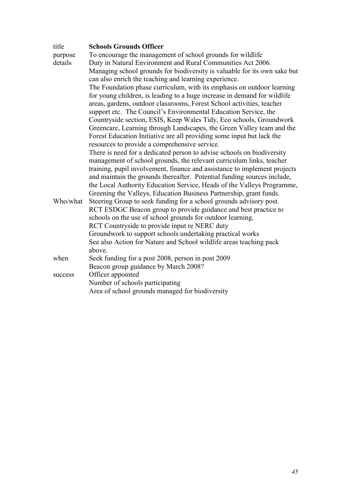| title    | <b>Schools Grounds Officer</b>                                                                                                                 |
|----------|------------------------------------------------------------------------------------------------------------------------------------------------|
| purpose  | To encourage the management of school grounds for wildlife                                                                                     |
| details  | Duty in Natural Environment and Rural Communities Act 2006.                                                                                    |
|          | Managing school grounds for biodiversity is valuable for its own sake but                                                                      |
|          | can also enrich the teaching and learning experience.                                                                                          |
|          | The Foundation phase curriculum, with its emphasis on outdoor learning                                                                         |
|          | for young children, is leading to a huge increase in demand for wildlife                                                                       |
|          | areas, gardens, outdoor classrooms, Forest School activities, teacher                                                                          |
|          | support etc. The Council's Environmental Education Service, the                                                                                |
|          | Countryside section, ESIS, Keep Wales Tidy, Eco schools, Groundwork                                                                            |
|          | Greencare, Learning through Landscapes, the Green Valley team and the<br>Forest Education Initiative are all providing some input but lack the |
|          | resources to provide a comprehensive service.                                                                                                  |
|          | There is need for a dedicated person to advise schools on biodiversity                                                                         |
|          | management of school grounds, the relevant curriculum links, teacher                                                                           |
|          | training, pupil involvement, finance and assistance to implement projects                                                                      |
|          | and maintain the grounds thereafter. Potential funding sources include,                                                                        |
|          | the Local Authority Education Service, Heads of the Valleys Programme,                                                                         |
|          | Greening the Valleys, Education Business Partnership, grant funds.                                                                             |
| Who/what | Steering Group to seek funding for a school grounds advisory post.                                                                             |
|          | RCT ESDGC Beacon group to provide guidance and best practice to                                                                                |
|          | schools on the use of school grounds for outdoor learning.                                                                                     |
|          | RCT Countryside to provide input re NERC duty                                                                                                  |
|          | Groundwork to support schools undertaking practical works                                                                                      |
|          | See also Action for Nature and School wildlife areas teaching pack                                                                             |
|          | above.                                                                                                                                         |
| when     | Seek funding for a post 2008, person in post 2009                                                                                              |
|          | Beacon group guidance by March 2008?                                                                                                           |
| success  | Officer appointed                                                                                                                              |
|          | Number of schools participating                                                                                                                |
|          | Area of school grounds managed for biodiversity                                                                                                |
|          |                                                                                                                                                |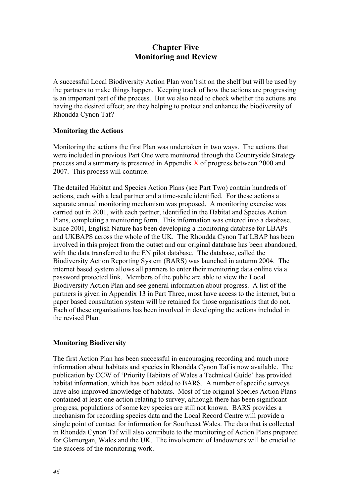# **Chapter Five Monitoring and Review**

A successful Local Biodiversity Action Plan won't sit on the shelf but will be used by the partners to make things happen. Keeping track of how the actions are progressing is an important part of the process. But we also need to check whether the actions are having the desired effect; are they helping to protect and enhance the biodiversity of Rhondda Cynon Taf?

## **Monitoring the Actions**

Monitoring the actions the first Plan was undertaken in two ways. The actions that were included in previous Part One were monitored through the Countryside Strategy process and a summary is presented in Appendix X of progress between 2000 and 2007. This process will continue.

The detailed Habitat and Species Action Plans (see Part Two) contain hundreds of actions, each with a lead partner and a time-scale identified. For these actions a separate annual monitoring mechanism was proposed. A monitoring exercise was carried out in 2001, with each partner, identified in the Habitat and Species Action Plans, completing a monitoring form. This information was entered into a database. Since 2001, English Nature has been developing a monitoring database for LBAPs and UKBAPS across the whole of the UK. The Rhondda Cynon Taf LBAP has been involved in this project from the outset and our original database has been abandoned, with the data transferred to the EN pilot database. The database, called the Biodiversity Action Reporting System (BARS) was launched in autumn 2004. The internet based system allows all partners to enter their monitoring data online via a password protected link. Members of the public are able to view the Local Biodiversity Action Plan and see general information about progress. A list of the partners is given in Appendix 13 in Part Three, most have access to the internet, but a paper based consultation system will be retained for those organisations that do not. Each of these organisations has been involved in developing the actions included in the revised Plan.

## **Monitoring Biodiversity**

The first Action Plan has been successful in encouraging recording and much more information about habitats and species in Rhondda Cynon Taf is now available. The publication by CCW of 'Priority Habitats of Wales a Technical Guide' has provided habitat information, which has been added to BARS. A number of specific surveys have also improved knowledge of habitats. Most of the original Species Action Plans contained at least one action relating to survey, although there has been significant progress, populations of some key species are still not known. BARS provides a mechanism for recording species data and the Local Record Centre will provide a single point of contact for information for Southeast Wales. The data that is collected in Rhondda Cynon Taf will also contribute to the monitoring of Action Plans prepared for Glamorgan, Wales and the UK. The involvement of landowners will be crucial to the success of the monitoring work.